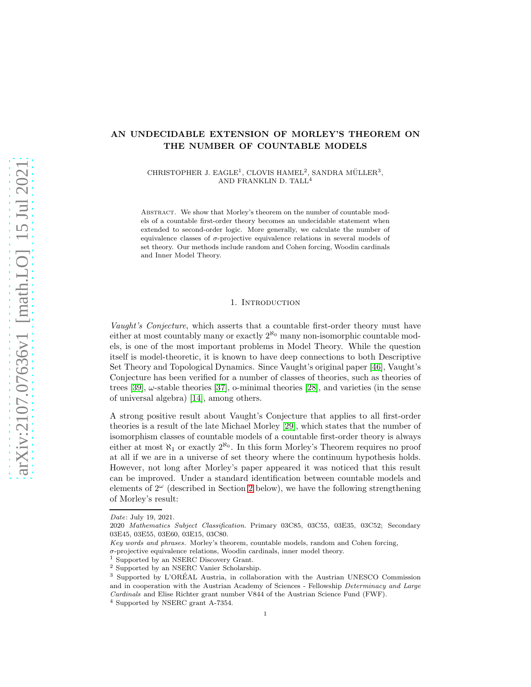# AN UNDECIDABLE EXTENSION OF MORLEY'S THEOREM ON THE NUMBER OF COUNTABLE MODELS

CHRISTOPHER J. EAGLE<sup>1</sup>, CLOVIS HAMEL<sup>2</sup>, SANDRA MÜLLER<sup>3</sup>, AND FRANKLIN D. TALL<sup>4</sup>

Abstract. We show that Morley's theorem on the number of countable models of a countable first-order theory becomes an undecidable statement when extended to second-order logic. More generally, we calculate the number of equivalence classes of  $\sigma$ -projective equivalence relations in several models of set theory. Our methods include random and Cohen forcing, Woodin cardinals and Inner Model Theory.

#### 1. INTRODUCTION

Vaught's Conjecture, which asserts that a countable first-order theory must have either at most countably many or exactly  $2^{\aleph_0}$  many non-isomorphic countable models, is one of the most important problems in Model Theory. While the question itself is model-theoretic, it is known to have deep connections to both Descriptive Set Theory and Topological Dynamics. Since Vaught's original paper [\[46\]](#page-30-0), Vaught's Conjecture has been verified for a number of classes of theories, such as theories of trees  $[39]$ ,  $\omega$ -stable theories  $[37]$ , o-minimal theories  $[28]$ , and varieties (in the sense of universal algebra) [\[14\]](#page-29-3), among others.

A strong positive result about Vaught's Conjecture that applies to all first-order theories is a result of the late Michael Morley [\[29\]](#page-29-4), which states that the number of isomorphism classes of countable models of a countable first-order theory is always either at most  $\aleph_1$  or exactly  $2^{\aleph_0}$ . In this form Morley's Theorem requires no proof at all if we are in a universe of set theory where the continuum hypothesis holds. However, not long after Morley's paper appeared it was noticed that this result can be improved. Under a standard identification between countable models and elements of  $2^{\omega}$  (described in Section [2](#page-2-0) below), we have the following strengthening of Morley's result:

*Date*: July 19, 2021.

<sup>2020</sup> *Mathematics Subject Classification.* Primary 03C85, 03C55, 03E35, 03C52; Secondary 03E45, 03E55, 03E60, 03E15, 03C80.

*Key words and phrases.* Morley's theorem, countable models, random and Cohen forcing,  $\sigma$ -projective equivalence relations, Woodin cardinals, inner model theory.

Supported by an NSERC Discovery Grant.

<sup>2</sup> Supported by an NSERC Vanier Scholarship.

 $3$  Supported by L'ORÉAL Austria, in collaboration with the Austrian UNESCO Commission and in cooperation with the Austrian Academy of Sciences - Fellowship *Determinacy and Large Cardinals* and Elise Richter grant number V844 of the Austrian Science Fund (FWF).

<sup>4</sup> Supported by NSERC grant A-7354.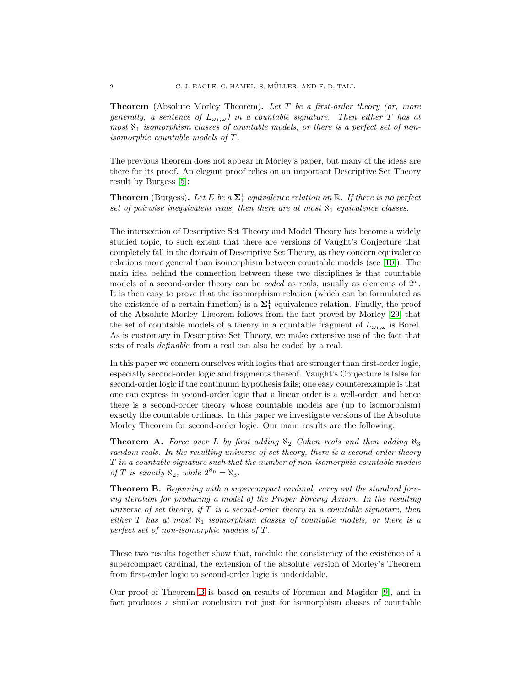**Theorem** (Absolute Morley Theorem). Let T be a first-order theory (or, more generally, a sentence of  $L_{\omega_1,\omega}$ ) in a countable signature. Then either T has at most  $\aleph_1$  isomorphism classes of countable models, or there is a perfect set of nonisomorphic countable models of T.

The previous theorem does not appear in Morley's paper, but many of the ideas are there for its proof. An elegant proof relies on an important Descriptive Set Theory result by Burgess [\[5\]](#page-28-0):

**Theorem** (Burgess). Let E be a  $\Sigma_1^1$  equivalence relation on R. If there is no perfect set of pairwise inequivalent reals, then there are at most  $\aleph_1$  equivalence classes.

The intersection of Descriptive Set Theory and Model Theory has become a widely studied topic, to such extent that there are versions of Vaught's Conjecture that completely fall in the domain of Descriptive Set Theory, as they concern equivalence relations more general than isomorphism between countable models (see [\[10\]](#page-29-5)). The main idea behind the connection between these two disciplines is that countable models of a second-order theory can be *coded* as reals, usually as elements of  $2^{\omega}$ . It is then easy to prove that the isomorphism relation (which can be formulated as the existence of a certain function) is a  $\Sigma_1^1$  equivalence relation. Finally, the proof of the Absolute Morley Theorem follows from the fact proved by Morley [\[29\]](#page-29-4) that the set of countable models of a theory in a countable fragment of  $L_{\omega_1,\omega}$  is Borel. As is customary in Descriptive Set Theory, we make extensive use of the fact that sets of reals definable from a real can also be coded by a real.

In this paper we concern ourselves with logics that are stronger than first-order logic, especially second-order logic and fragments thereof. Vaught's Conjecture is false for second-order logic if the continuum hypothesis fails; one easy counterexample is that one can express in second-order logic that a linear order is a well-order, and hence there is a second-order theory whose countable models are (up to isomorphism) exactly the countable ordinals. In this paper we investigate versions of the Absolute Morley Theorem for second-order logic. Our main results are the following:

<span id="page-1-1"></span>**Theorem A.** Force over L by first adding  $\aleph_2$  Cohen reals and then adding  $\aleph_3$ random reals. In the resulting universe of set theory, there is a second-order theory T in a countable signature such that the number of non-isomorphic countable models of T is exactly  $\aleph_2$ , while  $2^{\aleph_0} = \aleph_3$ .

<span id="page-1-0"></span>Theorem B. Beginning with a supercompact cardinal, carry out the standard forcing iteration for producing a model of the Proper Forcing Axiom. In the resulting universe of set theory, if  $T$  is a second-order theory in a countable signature, then either T has at most  $\aleph_1$  isomorphism classes of countable models, or there is a perfect set of non-isomorphic models of T .

These two results together show that, modulo the consistency of the existence of a supercompact cardinal, the extension of the absolute version of Morley's Theorem from first-order logic to second-order logic is undecidable.

Our proof of Theorem [B](#page-1-0) is based on results of Foreman and Magidor [\[9\]](#page-29-6), and in fact produces a similar conclusion not just for isomorphism classes of countable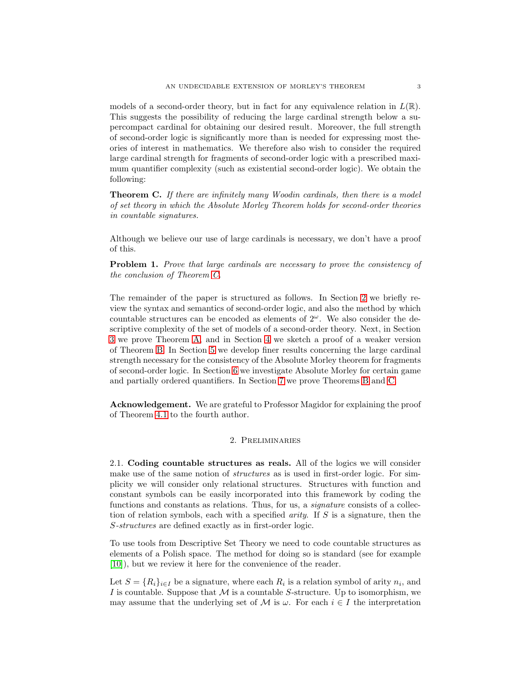models of a second-order theory, but in fact for any equivalence relation in  $L(\mathbb{R})$ . This suggests the possibility of reducing the large cardinal strength below a supercompact cardinal for obtaining our desired result. Moreover, the full strength of second-order logic is significantly more than is needed for expressing most theories of interest in mathematics. We therefore also wish to consider the required large cardinal strength for fragments of second-order logic with a prescribed maximum quantifier complexity (such as existential second-order logic). We obtain the following:

<span id="page-2-1"></span>**Theorem C.** If there are infinitely many Woodin cardinals, then there is a model of set theory in which the Absolute Morley Theorem holds for second-order theories in countable signatures.

Although we believe our use of large cardinals is necessary, we don't have a proof of this.

Problem 1. Prove that large cardinals are necessary to prove the consistency of the conclusion of Theorem [C.](#page-2-1)

The remainder of the paper is structured as follows. In Section [2](#page-2-0) we briefly review the syntax and semantics of second-order logic, and also the method by which countable structures can be encoded as elements of  $2^{\omega}$ . We also consider the descriptive complexity of the set of models of a second-order theory. Next, in Section [3](#page-6-0) we prove Theorem [A,](#page-1-1) and in Section [4](#page-9-0) we sketch a proof of a weaker version of Theorem [B.](#page-1-0) In Section [5](#page-12-0) we develop finer results concerning the large cardinal strength necessary for the consistency of the Absolute Morley theorem for fragments of second-order logic. In Section [6](#page-18-0) we investigate Absolute Morley for certain game and partially ordered quantifiers. In Section [7](#page-22-0) we prove Theorems [B](#page-1-0) and [C.](#page-2-1)

<span id="page-2-0"></span>Acknowledgement. We are grateful to Professor Magidor for explaining the proof of Theorem [4.1](#page-10-0) to the fourth author.

# 2. Preliminaries

2.1. Coding countable structures as reals. All of the logics we will consider make use of the same notion of *structures* as is used in first-order logic. For simplicity we will consider only relational structures. Structures with function and constant symbols can be easily incorporated into this framework by coding the functions and constants as relations. Thus, for us, a *signature* consists of a collection of relation symbols, each with a specified *arity*. If  $S$  is a signature, then the S-structures are defined exactly as in first-order logic.

To use tools from Descriptive Set Theory we need to code countable structures as elements of a Polish space. The method for doing so is standard (see for example [\[10\]](#page-29-5)), but we review it here for the convenience of the reader.

Let  $S = \{R_i\}_{i \in I}$  be a signature, where each  $R_i$  is a relation symbol of arity  $n_i$ , and I is countable. Suppose that  $M$  is a countable S-structure. Up to isomorphism, we may assume that the underlying set of M is  $\omega$ . For each  $i \in I$  the interpretation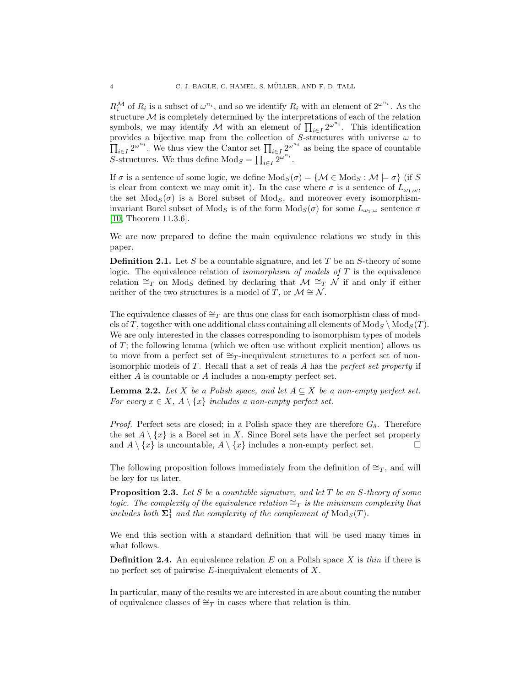$R_i^{\mathcal{M}}$  of  $R_i$  is a subset of  $\omega^{n_i}$ , and so we identify  $R_i$  with an element of  $2^{\omega^{n_i}}$ . As the structure  $\mathcal M$  is completely determined by the interpretations of each of the relation symbols, we may identify M with an element of  $\prod_{i\in I} 2^{\omega^{n_i}}$ . This identification provides a bijective map from the collection of S-structures with universe  $\omega$  to  $\prod_{i\in I} 2^{\omega^{n_i}}$ . We thus view the Cantor set  $\prod_{i\in I} 2^{\omega^{n_i}}$  as being the space of countable S-structures. We thus define  $\text{Mod}_S = \prod_{i \in I} 2^{\omega^{n_i}}$ .

If  $\sigma$  is a sentence of some logic, we define  $Mod_S(\sigma) = \{ \mathcal{M} \in Mod_S : \mathcal{M} \models \sigma \}$  (if S is clear from context we may omit it). In the case where  $\sigma$  is a sentence of  $L_{\omega_1,\omega}$ , the set  $Mod_S(\sigma)$  is a Borel subset of  $Mod_S$ , and moreover every isomorphisminvariant Borel subset of Mod<sub>S</sub> is of the form  $Mod_S(\sigma)$  for some  $L_{\omega_1,\omega}$  sentence  $\sigma$ [\[10,](#page-29-5) Theorem 11.3.6].

We are now prepared to define the main equivalence relations we study in this paper.

**Definition 2.1.** Let S be a countable signature, and let T be an S-theory of some logic. The equivalence relation of *isomorphism of models of*  $T$  is the equivalence relation  $\cong_T$  on Mod<sub>S</sub> defined by declaring that  $\mathcal{M} \cong_T \mathcal{N}$  if and only if either neither of the two structures is a model of T, or  $\mathcal{M} \cong \mathcal{N}$ .

The equivalence classes of  $\cong_T$  are thus one class for each isomorphism class of models of T, together with one additional class containing all elements of  $Mod_S \setminus Mod_S(T)$ . We are only interested in the classes corresponding to isomorphism types of models of  $T$ ; the following lemma (which we often use without explicit mention) allows us to move from a perfect set of ≅T-inequivalent structures to a perfect set of nonisomorphic models of  $T$ . Recall that a set of reals  $A$  has the *perfect set property* if either A is countable or A includes a non-empty perfect set.

**Lemma 2.2.** Let X be a Polish space, and let  $A \subseteq X$  be a non-empty perfect set. For every  $x \in X$ ,  $A \setminus \{x\}$  includes a non-empty perfect set.

*Proof.* Perfect sets are closed; in a Polish space they are therefore  $G_{\delta}$ . Therefore the set  $A \setminus \{x\}$  is a Borel set in X. Since Borel sets have the perfect set property and  $A \setminus \{x\}$  is uncountable,  $A \setminus \{x\}$  includes a non-empty perfect set.

The following proposition follows immediately from the definition of  $\cong_T$ , and will be key for us later.

**Proposition 2.3.** Let S be a countable signature, and let  $T$  be an  $S$ -theory of some logic. The complexity of the equivalence relation  $\cong_T$  is the minimum complexity that includes both  $\Sigma_1^1$  and the complexity of the complement of  $\text{Mod}_S(T)$ .

We end this section with a standard definition that will be used many times in what follows.

**Definition 2.4.** An equivalence relation E on a Polish space X is thin if there is no perfect set of pairwise  $E$ -inequivalent elements of  $X$ .

In particular, many of the results we are interested in are about counting the number of equivalence classes of  $\cong_T$  in cases where that relation is thin.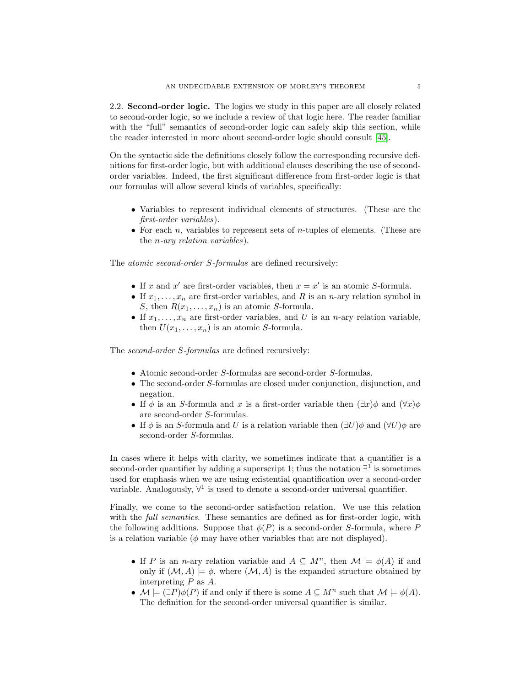2.2. Second-order logic. The logics we study in this paper are all closely related to second-order logic, so we include a review of that logic here. The reader familiar with the "full" semantics of second-order logic can safely skip this section, while the reader interested in more about second-order logic should consult [\[45\]](#page-30-1).

On the syntactic side the definitions closely follow the corresponding recursive definitions for first-order logic, but with additional clauses describing the use of secondorder variables. Indeed, the first significant difference from first-order logic is that our formulas will allow several kinds of variables, specifically:

- Variables to represent individual elements of structures. (These are the first-order variables).
- For each n, variables to represent sets of *n*-tuples of elements. (These are the n-ary relation variables).

The *atomic second-order S-formulas* are defined recursively:

- If x and x' are first-order variables, then  $x = x'$  is an atomic S-formula.
- If  $x_1, \ldots, x_n$  are first-order variables, and R is an n-ary relation symbol in S, then  $R(x_1, \ldots, x_n)$  is an atomic S-formula.
- If  $x_1, \ldots, x_n$  are first-order variables, and U is an *n*-ary relation variable, then  $U(x_1, \ldots, x_n)$  is an atomic S-formula.

The *second-order S-formulas* are defined recursively:

- Atomic second-order S-formulas are second-order S-formulas.
- The second-order S-formulas are closed under conjunction, disjunction, and negation.
- If  $\phi$  is an S-formula and x is a first-order variable then  $(\exists x)\phi$  and  $(\forall x)\phi$ are second-order S-formulas.
- If  $\phi$  is an S-formula and U is a relation variable then  $(\exists U)\phi$  and  $(\forall U)\phi$  are second-order S-formulas.

In cases where it helps with clarity, we sometimes indicate that a quantifier is a second-order quantifier by adding a superscript 1; thus the notation  $\exists^1$  is sometimes used for emphasis when we are using existential quantification over a second-order variable. Analogously,  $\forall^1$  is used to denote a second-order universal quantifier.

Finally, we come to the second-order satisfaction relation. We use this relation with the *full semantics*. These semantics are defined as for first-order logic, with the following additions. Suppose that  $\phi(P)$  is a second-order S-formula, where P is a relation variable  $(\phi$  may have other variables that are not displayed).

- If P is an n-ary relation variable and  $A \subseteq M^n$ , then  $\mathcal{M} \models \phi(A)$  if and only if  $(M, A) \models \phi$ , where  $(M, A)$  is the expanded structure obtained by interpreting P as A.
- $\mathcal{M} \models (\exists P)\phi(P)$  if and only if there is some  $A \subseteq M^n$  such that  $\mathcal{M} \models \phi(A)$ . The definition for the second-order universal quantifier is similar.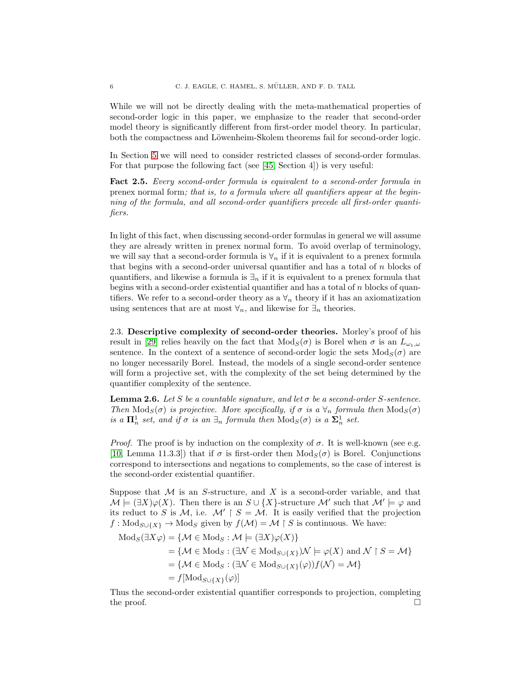While we will not be directly dealing with the meta-mathematical properties of second-order logic in this paper, we emphasize to the reader that second-order model theory is significantly different from first-order model theory. In particular, both the compactness and Löwenheim-Skolem theorems fail for second-order logic.

In Section [5](#page-12-0) we will need to consider restricted classes of second-order formulas. For that purpose the following fact (see [\[45,](#page-30-1) Section 4]) is very useful:

Fact 2.5. Every second-order formula is equivalent to a second-order formula in prenex normal form; that is, to a formula where all quantifiers appear at the beginning of the formula, and all second-order quantifiers precede all first-order quantifiers.

In light of this fact, when discussing second-order formulas in general we will assume they are already written in prenex normal form. To avoid overlap of terminology, we will say that a second-order formula is  $\forall_n$  if it is equivalent to a prenex formula that begins with a second-order universal quantifier and has a total of  $n$  blocks of quantifiers, and likewise a formula is  $\exists_n$  if it is equivalent to a prenex formula that begins with a second-order existential quantifier and has a total of  $n$  blocks of quantifiers. We refer to a second-order theory as a  $\forall_n$  theory if it has an axiomatization using sentences that are at most  $\forall_n$ , and likewise for  $\exists_n$  theories.

2.3. Descriptive complexity of second-order theories. Morley's proof of his result in [\[29\]](#page-29-4) relies heavily on the fact that  $Mod_S(\sigma)$  is Borel when  $\sigma$  is an  $L_{\omega_1,\omega}$ sentence. In the context of a sentence of second-order logic the sets  $Mod_S(\sigma)$  are no longer necessarily Borel. Instead, the models of a single second-order sentence will form a projective set, with the complexity of the set being determined by the quantifier complexity of the sentence.

<span id="page-5-0"></span>**Lemma 2.6.** Let S be a countable signature, and let  $\sigma$  be a second-order S-sentence. Then  $\text{Mod}_S(\sigma)$  is projective. More specifically, if  $\sigma$  is a  $\forall_n$  formula then  $\text{Mod}_S(\sigma)$ is a  $\mathbf{\Pi}^1_n$  set, and if  $\sigma$  is an  $\exists_n$  formula then  $\text{Mod}_S(\sigma)$  is a  $\mathbf{\Sigma}^1_n$  set.

*Proof.* The proof is by induction on the complexity of  $\sigma$ . It is well-known (see e.g. [\[10,](#page-29-5) Lemma 11.3.3]) that if  $\sigma$  is first-order then  $Mod_S(\sigma)$  is Borel. Conjunctions correspond to intersections and negations to complements, so the case of interest is the second-order existential quantifier.

Suppose that  $M$  is an S-structure, and X is a second-order variable, and that  $\mathcal{M} \models (\exists X)\varphi(X)$ . Then there is an  $S \cup \{X\}$ -structure  $\mathcal{M}'$  such that  $\mathcal{M}' \models \varphi$  and its reduct to S is M, i.e.  $\mathcal{M}' \upharpoonright S = \mathcal{M}$ . It is easily verified that the projection  $f: Mod_{S\cup \{X\}} \to Mod_S$  given by  $f(\mathcal{M}) = \mathcal{M} \upharpoonright S$  is continuous. We have:

$$
\begin{aligned} \text{Mod}_S(\exists X \varphi) &= \{\mathcal{M} \in \text{Mod}_S : \mathcal{M} \models (\exists X) \varphi(X)\} \\ &= \{\mathcal{M} \in \text{Mod}_S : (\exists \mathcal{N} \in \text{Mod}_{S \cup \{X\}}) \mathcal{N} \models \varphi(X) \text{ and } \mathcal{N} \upharpoonright S = \mathcal{M}\} \\ &= \{\mathcal{M} \in \text{Mod}_S : (\exists \mathcal{N} \in \text{Mod}_{S \cup \{X\}}(\varphi)) f(\mathcal{N}) = \mathcal{M}\} \\ &= f[\text{Mod}_{S \cup \{X\}}(\varphi)] \end{aligned}
$$

Thus the second-order existential quantifier corresponds to projection, completing the proof.  $\Box$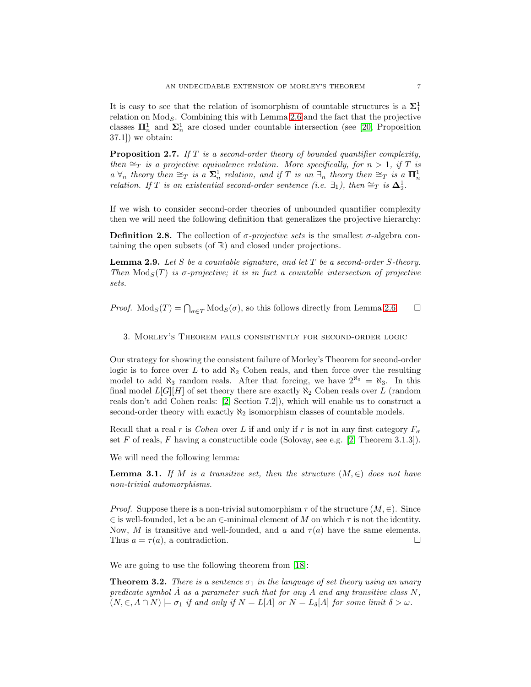It is easy to see that the relation of isomorphism of countable structures is a  $\Sigma_1^1$ relation on  $Mod_S$ . Combining this with Lemma [2.6](#page-5-0) and the fact that the projective classes  $\mathbf{\Pi}_{n}^{1}$  and  $\mathbf{\Sigma}_{n}^{1}$  are closed under countable intersection (see [\[20,](#page-29-7) Proposition 37.1]) we obtain:

<span id="page-6-2"></span>**Proposition 2.7.** If  $T$  is a second-order theory of bounded quantifier complexity, then  $\cong_T$  is a projective equivalence relation. More specifically, for  $n > 1$ , if T is  $a \forall n$  theory then  $\cong_T$  is a  $\Sigma_n^1$  relation, and if T is an  $\exists_n$  theory then  $\cong_T$  is a  $\Pi_n^1$ relation. If T is an existential second-order sentence (i.e.  $\exists_1$ ), then  $\cong_T$  is  $\Delta_2^1$ .

If we wish to consider second-order theories of unbounded quantifier complexity then we will need the following definition that generalizes the projective hierarchy:

**Definition 2.8.** The collection of  $\sigma$ -projective sets is the smallest  $\sigma$ -algebra containing the open subsets (of R) and closed under projections.

**Lemma 2.9.** Let S be a countable signature, and let T be a second-order S-theory. Then  $Mod_S(T)$  is  $\sigma$ -projective; it is in fact a countable intersection of projective sets.

<span id="page-6-0"></span>*Proof.*  $Mod_S(T) = \bigcap_{\sigma \in T} Mod_S(\sigma)$ , so this follows directly from Lemma [2.6.](#page-5-0)  $\square$ 

3. Morley's Theorem fails consistently for second-order logic

Our strategy for showing the consistent failure of Morley's Theorem for second-order logic is to force over L to add  $\aleph_2$  Cohen reals, and then force over the resulting model to add  $\aleph_3$  random reals. After that forcing, we have  $2^{\aleph_0} = \aleph_3$ . In this final model  $L[G][H]$  of set theory there are exactly  $\aleph_2$  Cohen reals over L (random reals don't add Cohen reals: [\[2,](#page-28-1) Section 7.2]), which will enable us to construct a second-order theory with exactly  $\aleph_2$  isomorphism classes of countable models.

Recall that a real r is Cohen over L if and only if r is not in any first category  $F_{\sigma}$ set  $F$  of reals,  $F$  having a constructible code (Solovay, see e.g. [\[2,](#page-28-1) Theorem 3.1.3]).

We will need the following lemma:

<span id="page-6-3"></span>**Lemma 3.1.** If M is a transitive set, then the structure  $(M, \in)$  does not have non-trivial automorphisms.

*Proof.* Suppose there is a non-trivial automorphism  $\tau$  of the structure  $(M, \in)$ . Since  $\in$  is well-founded, let a be an  $\in$ -minimal element of M on which  $\tau$  is not the identity. Now, M is transitive and well-founded, and a and  $\tau(a)$  have the same elements. Thus  $a = \tau(a)$ , a contradiction.

We are going to use the following theorem from [\[18\]](#page-29-8):

<span id="page-6-1"></span>**Theorem 3.2.** There is a sentence  $\sigma_1$  in the language of set theory using an unary predicate symbol  $\tilde{A}$  as a parameter such that for any  $A$  and any transitive class  $N$ ,  $(N, \in, A \cap N) \models \sigma_1$  if and only if  $N = L[A]$  or  $N = L_{\delta}[A]$  for some limit  $\delta > \omega$ .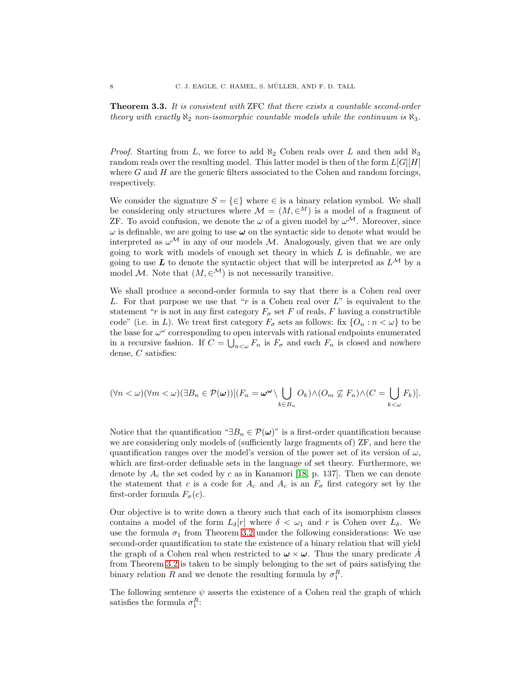<span id="page-7-0"></span>Theorem 3.3. It is consistent with ZFC that there exists a countable second-order theory with exactly  $\aleph_2$  non-isomorphic countable models while the continuum is  $\aleph_3$ .

*Proof.* Starting from L, we force to add  $\aleph_2$  Cohen reals over L and then add  $\aleph_3$ random reals over the resulting model. This latter model is then of the form  $L[G][H]$ where  $G$  and  $H$  are the generic filters associated to the Cohen and random forcings, respectively.

We consider the signature  $S = \{\in\}$  where  $\in$  is a binary relation symbol. We shall be considering only structures where  $\mathcal{M} = (M, \in^M)$  is a model of a fragment of ZF. To avoid confusion, we denote the  $\omega$  of a given model by  $\omega^{\mathcal{M}}$ . Moreover, since  $\omega$  is definable, we are going to use  $\omega$  on the syntactic side to denote what would be interpreted as  $\omega^{\mathcal{M}}$  in any of our models M. Analogously, given that we are only going to work with models of enough set theory in which  $L$  is definable, we are going to use L to denote the syntactic object that will be interpreted as  $L^{\mathcal{M}}$  by a model M. Note that  $(M, \in^{\mathcal{M}})$  is not necessarily transitive.

We shall produce a second-order formula to say that there is a Cohen real over L. For that purpose we use that "r is a Cohen real over  $L$ " is equivalent to the statement "r is not in any first category  $F_{\sigma}$  set F of reals, F having a constructible code" (i.e. in L). We treat first category  $F_{\sigma}$  sets as follows: fix  $\{O_n : n < \omega\}$  to be the base for  $\omega^{\omega}$  corresponding to open intervals with rational endpoints enumerated in a recursive fashion. If  $C = \bigcup_{n<\omega} F_n$  is  $F_{\sigma}$  and each  $F_n$  is closed and nowhere dense, C satisfies:

$$
(\forall n < \omega)(\forall m < \omega)(\exists B_n \in \mathcal{P}(\omega))[(F_n = \omega^{\omega} \setminus \bigcup_{k \in B_n} O_k) \wedge (O_m \not\subseteq F_n) \wedge (C = \bigcup_{k < \omega} F_k)].
$$

Notice that the quantification " $\exists B_n \in \mathcal{P}(\omega)$ " is a first-order quantification because we are considering only models of (sufficiently large fragments of) ZF, and here the quantification ranges over the model's version of the power set of its version of  $\omega$ , which are first-order definable sets in the language of set theory. Furthermore, we denote by  $A_c$  the set coded by c as in Kanamori [\[18,](#page-29-8) p. 137]. Then we can denote the statement that c is a code for  $A_c$  and  $A_c$  is an  $F_{\sigma}$  first category set by the first-order formula  $F_{\sigma}(c)$ .

Our objective is to write down a theory such that each of its isomorphism classes contains a model of the form  $L_{\delta}[r]$  where  $\delta < \omega_1$  and r is Cohen over  $L_{\delta}$ . We use the formula  $\sigma_1$  from Theorem [3.2](#page-6-1) under the following considerations: We use second-order quantification to state the existence of a binary relation that will yield the graph of a Cohen real when restricted to  $\omega \times \omega$ . Thus the unary predicate  $\hat{A}$ from Theorem [3.2](#page-6-1) is taken to be simply belonging to the set of pairs satisfying the binary relation R and we denote the resulting formula by  $\sigma_1^R$ .

The following sentence  $\psi$  asserts the existence of a Cohen real the graph of which satisfies the formula  $\sigma_1^R$ :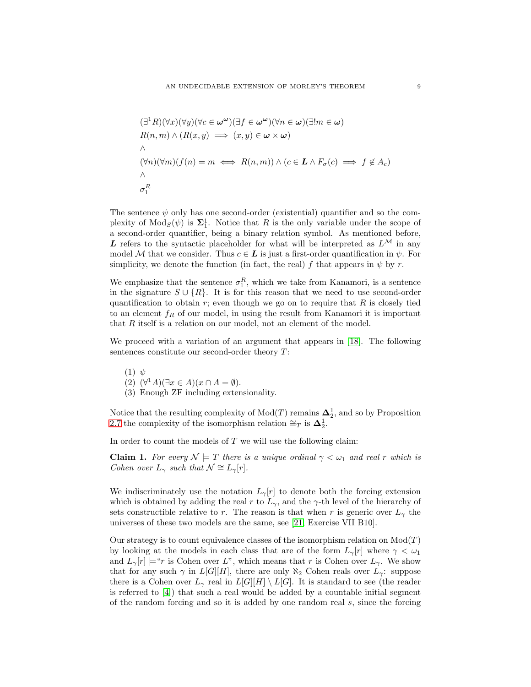$$
(\exists^1 R)(\forall x)(\forall y)(\forall c \in \omega^\omega)(\exists f \in \omega^\omega)(\forall n \in \omega)(\exists ! m \in \omega)
$$
  
\n
$$
R(n, m) \land (R(x, y) \implies (x, y) \in \omega \times \omega)
$$
  
\n
$$
\land
$$
  
\n
$$
(\forall n)(\forall m)(f(n) = m \iff R(n, m)) \land (c \in L \land F_\sigma(c) \implies f \notin A_c)
$$
  
\n
$$
\land
$$
  
\n
$$
\sigma_1^R
$$

The sentence  $\psi$  only has one second-order (existential) quantifier and so the complexity of  $Mod_S(\psi)$  is  $\Sigma_1^1$ . Notice that R is the only variable under the scope of a second-order quantifier, being a binary relation symbol. As mentioned before, L refers to the syntactic placeholder for what will be interpreted as  $L^{\mathcal{M}}$  in any model M that we consider. Thus  $c \in L$  is just a first-order quantification in  $\psi$ . For simplicity, we denote the function (in fact, the real) f that appears in  $\psi$  by r.

We emphasize that the sentence  $\sigma_1^R$ , which we take from Kanamori, is a sentence in the signature  $S \cup \{R\}$ . It is for this reason that we need to use second-order quantification to obtain  $r$ ; even though we go on to require that  $R$  is closely tied to an element  $f_R$  of our model, in using the result from Kanamori it is important that  $R$  itself is a relation on our model, not an element of the model.

We proceed with a variation of an argument that appears in [\[18\]](#page-29-8). The following sentences constitute our second-order theory  $T$ :

\n- (1) 
$$
\psi
$$
\n- (2)  $(\forall^1 A)(\exists x \in A)(x \cap A = \emptyset)$ .
\n- (3) Enough ZF including extensionality.
\n

Notice that the resulting complexity of  $Mod(T)$  remains  $\Delta_2^1$ , and so by Proposition [2.7](#page-6-2) the complexity of the isomorphism relation  $\cong_T$  is  $\Delta_2^1$ .

In order to count the models of  $T$  we will use the following claim:

**Claim 1.** For every  $\mathcal{N} \models T$  there is a unique ordinal  $\gamma < \omega_1$  and real r which is Cohen over  $L_{\gamma}$  such that  $\mathcal{N} \cong L_{\gamma}[r]$ .

We indiscriminately use the notation  $L_{\gamma}[r]$  to denote both the forcing extension which is obtained by adding the real r to  $L_{\gamma}$ , and the  $\gamma$ -th level of the hierarchy of sets constructible relative to r. The reason is that when r is generic over  $L_{\gamma}$  the universes of these two models are the same, see [\[21,](#page-29-9) Exercise VII B10].

Our strategy is to count equivalence classes of the isomorphism relation on  $Mod(T)$ by looking at the models in each class that are of the form  $L_{\gamma}|r|$  where  $\gamma < \omega_1$ and  $L_{\gamma}[r] \models$ "r is Cohen over L", which means that r is Cohen over  $L_{\gamma}$ . We show that for any such  $\gamma$  in  $L[G][H]$ , there are only  $\aleph_2$  Cohen reals over  $L_{\gamma}$ : suppose there is a Cohen over  $L_{\gamma}$  real in  $L[G][H] \setminus L[G]$ . It is standard to see (the reader is referred to [\[4\]](#page-28-2)) that such a real would be added by a countable initial segment of the random forcing and so it is added by one random real s, since the forcing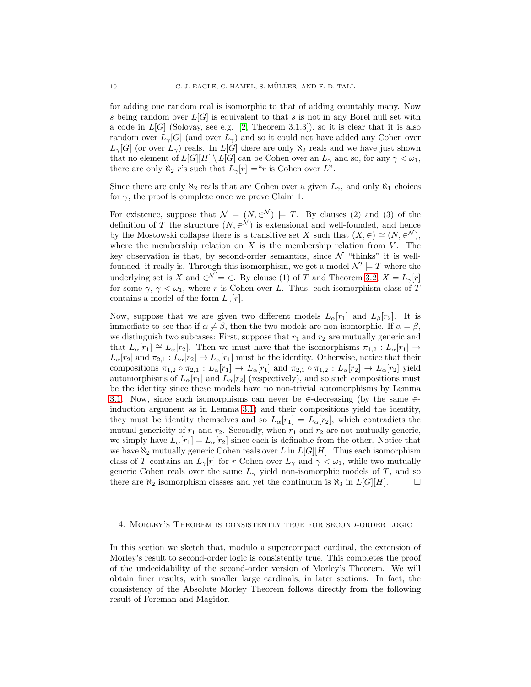for adding one random real is isomorphic to that of adding countably many. Now s being random over  $L[G]$  is equivalent to that s is not in any Borel null set with a code in  $L[G]$  (Solovay, see e.g. [\[2,](#page-28-1) Theorem 3.1.3]), so it is clear that it is also random over  $L_{\gamma}[G]$  (and over  $L_{\gamma}$ ) and so it could not have added any Cohen over  $L_{\gamma}[G]$  (or over  $L_{\gamma}$ ) reals. In  $L[G]$  there are only  $\aleph_2$  reals and we have just shown that no element of  $L[G][H] \setminus L[G]$  can be Cohen over an  $L_{\gamma}$  and so, for any  $\gamma < \omega_1$ , there are only  $\aleph_2$  r's such that  $L_{\gamma}[r] \models$ "r is Cohen over L".

Since there are only  $\aleph_2$  reals that are Cohen over a given  $L_{\gamma}$ , and only  $\aleph_1$  choices for  $\gamma$ , the proof is complete once we prove Claim 1.

For existence, suppose that  $\mathcal{N} = (N, \infty) \models T$ . By clauses (2) and (3) of the definition of T the structure  $(N, \infty^N)$  is extensional and well-founded, and hence by the Mostowski collapse there is a transitive set X such that  $(X, \in) \cong (N, \infty)$ , where the membership relation on  $X$  is the membership relation from  $V$ . The key observation is that, by second-order semantics, since  $\mathcal N$  "thinks" it is wellfounded, it really is. Through this isomorphism, we get a model  $\mathcal{N}' \models T$  where the underlying set is X and  $\in^{\mathcal{N}'} = \in$ . By clause (1) of T and Theorem [3.2,](#page-6-1)  $X = L_{\gamma}[r]$ for some  $\gamma$ ,  $\gamma < \omega_1$ , where r is Cohen over L. Thus, each isomorphism class of T contains a model of the form  $L_{\gamma}[r]$ .

Now, suppose that we are given two different models  $L_{\alpha}[r_1]$  and  $L_{\beta}[r_2]$ . It is immediate to see that if  $\alpha \neq \beta$ , then the two models are non-isomorphic. If  $\alpha = \beta$ , we distinguish two subcases: First, suppose that  $r_1$  and  $r_2$  are mutually generic and that  $L_{\alpha}[r_1] \cong L_{\alpha}[r_2]$ . Then we must have that the isomorphisms  $\pi_{1,2}: L_{\alpha}[r_1] \to$  $L_{\alpha}[r_2]$  and  $\pi_{2,1}: L_{\alpha}[r_2] \to L_{\alpha}[r_1]$  must be the identity. Otherwise, notice that their compositions  $\pi_{1,2} \circ \pi_{2,1} : L_\alpha[r_1] \to L_\alpha[r_1]$  and  $\pi_{2,1} \circ \pi_{1,2} : L_\alpha[r_2] \to L_\alpha[r_2]$  yield automorphisms of  $L_{\alpha}[r_1]$  and  $L_{\alpha}[r_2]$  (respectively), and so such compositions must be the identity since these models have no non-trivial automorphisms by Lemma [3.1.](#page-6-3) Now, since such isomorphisms can never be  $\in$ -decreasing (by the same  $\in$ induction argument as in Lemma [3.1\)](#page-6-3) and their compositions yield the identity, they must be identity themselves and so  $L_{\alpha}[r_1] = L_{\alpha}[r_2]$ , which contradicts the mutual genericity of  $r_1$  and  $r_2$ . Secondly, when  $r_1$  and  $r_2$  are not mutually generic, we simply have  $L_{\alpha}[r_1] = L_{\alpha}[r_2]$  since each is definable from the other. Notice that we have  $\aleph_2$  mutually generic Cohen reals over L in  $L[G][H]$ . Thus each isomorphism class of T contains an  $L_{\gamma}[r]$  for r Cohen over  $L_{\gamma}$  and  $\gamma < \omega_1$ , while two mutually generic Cohen reals over the same  $L_{\gamma}$  yield non-isomorphic models of T, and so there are  $\aleph_2$  isomorphism classes and yet the continuum is  $\aleph_3$  in  $L[G][H]$ .

## <span id="page-9-0"></span>4. Morley's Theorem is consistently true for second-order logic

In this section we sketch that, modulo a supercompact cardinal, the extension of Morley's result to second-order logic is consistently true. This completes the proof of the undecidability of the second-order version of Morley's Theorem. We will obtain finer results, with smaller large cardinals, in later sections. In fact, the consistency of the Absolute Morley Theorem follows directly from the following result of Foreman and Magidor.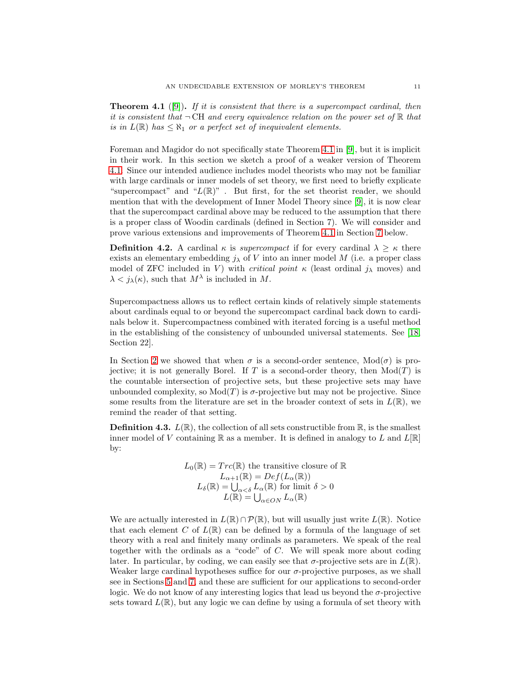<span id="page-10-0"></span>**Theorem 4.1** ([\[9\]](#page-29-6)). If it is consistent that there is a supercompact cardinal, then it is consistent that  $\neg$ CH and every equivalence relation on the power set of  $\mathbb R$  that is in  $L(\mathbb{R})$  has  $\leq \aleph_1$  or a perfect set of inequivalent elements.

Foreman and Magidor do not specifically state Theorem [4.1](#page-10-0) in [\[9\]](#page-29-6), but it is implicit in their work. In this section we sketch a proof of a weaker version of Theorem [4.1.](#page-10-0) Since our intended audience includes model theorists who may not be familiar with large cardinals or inner models of set theory, we first need to briefly explicate "supercompact" and " $L(\mathbb{R})$ ". But first, for the set theorist reader, we should mention that with the development of Inner Model Theory since [\[9\]](#page-29-6), it is now clear that the supercompact cardinal above may be reduced to the assumption that there is a proper class of Woodin cardinals (defined in Section 7). We will consider and prove various extensions and improvements of Theorem [4.1](#page-10-0) in Section [7](#page-22-0) below.

**Definition 4.2.** A cardinal  $\kappa$  is *supercompact* if for every cardinal  $\lambda \geq \kappa$  there exists an elementary embedding  $j_{\lambda}$  of V into an inner model M (i.e. a proper class model of ZFC included in V) with *critical point*  $\kappa$  (least ordinal  $j_{\lambda}$  moves) and  $\lambda < j_{\lambda}(\kappa)$ , such that  $M^{\lambda}$  is included in M.

Supercompactness allows us to reflect certain kinds of relatively simple statements about cardinals equal to or beyond the supercompact cardinal back down to cardinals below it. Supercompactness combined with iterated forcing is a useful method in the establishing of the consistency of unbounded universal statements. See [\[18,](#page-29-8) Section 22].

In Section [2](#page-2-0) we showed that when  $\sigma$  is a second-order sentence,  $Mod(\sigma)$  is projective; it is not generally Borel. If T is a second-order theory, then  $Mod(T)$  is the countable intersection of projective sets, but these projective sets may have unbounded complexity, so  $Mod(T)$  is  $\sigma$ -projective but may not be projective. Since some results from the literature are set in the broader context of sets in  $L(\mathbb{R})$ , we remind the reader of that setting.

**Definition 4.3.**  $L(\mathbb{R})$ , the collection of all sets constructible from  $\mathbb{R}$ , is the smallest inner model of V containing  $\mathbb R$  as a member. It is defined in analogy to L and  $L[\mathbb R]$ by:

$$
L_0(\mathbb{R}) = Trc(\mathbb{R})
$$
 the transitive closure of  $\mathbb{R}$   

$$
L_{\alpha+1}(\mathbb{R}) = Def(L_{\alpha}(\mathbb{R}))
$$
  

$$
L_{\delta}(\mathbb{R}) = \bigcup_{\alpha < \delta} L_{\alpha}(\mathbb{R})
$$
 for limit  $\delta > 0$   

$$
L(\mathbb{R}) = \bigcup_{\alpha \in ON} L_{\alpha}(\mathbb{R})
$$

We are actually interested in  $L(\mathbb{R}) \cap \mathcal{P}(\mathbb{R})$ , but will usually just write  $L(\mathbb{R})$ . Notice that each element C of  $L(\mathbb{R})$  can be defined by a formula of the language of set theory with a real and finitely many ordinals as parameters. We speak of the real together with the ordinals as a "code" of C. We will speak more about coding later. In particular, by coding, we can easily see that  $\sigma$ -projective sets are in  $L(\mathbb{R})$ . Weaker large cardinal hypotheses suffice for our  $\sigma$ -projective purposes, as we shall see in Sections [5](#page-12-0) and [7,](#page-22-0) and these are sufficient for our applications to second-order logic. We do not know of any interesting logics that lead us beyond the  $\sigma$ -projective sets toward  $L(\mathbb{R})$ , but any logic we can define by using a formula of set theory with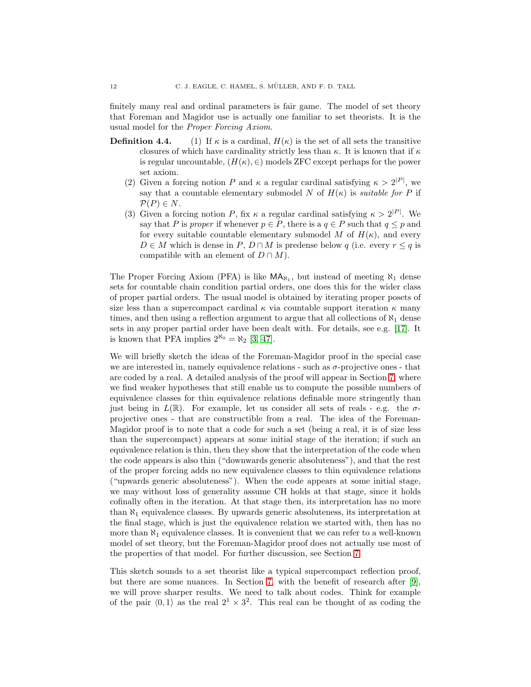finitely many real and ordinal parameters is fair game. The model of set theory that Foreman and Magidor use is actually one familiar to set theorists. It is the usual model for the Proper Forcing Axiom.

- **Definition 4.4.** (1) If  $\kappa$  is a cardinal,  $H(\kappa)$  is the set of all sets the transitive closures of which have cardinality strictly less than  $\kappa$ . It is known that if  $\kappa$ is regular uncountable,  $(H(\kappa), \in)$  models ZFC except perhaps for the power set axiom.
	- (2) Given a forcing notion P and  $\kappa$  a regular cardinal satisfying  $\kappa > 2^{|P|}$ , we say that a countable elementary submodel N of  $H(\kappa)$  is *suitable for* P if  $P(P) \in N$ .
	- (3) Given a forcing notion P, fix  $\kappa$  a regular cardinal satisfying  $\kappa > 2^{|P|}$ . We say that P is proper if whenever  $p \in P$ , there is a  $q \in P$  such that  $q \leq p$  and for every suitable countable elementary submodel M of  $H(\kappa)$ , and every  $D \in M$  which is dense in P,  $D \cap M$  is predense below q (i.e. every  $r \leq q$  is compatible with an element of  $D \cap M$ ).

The Proper Forcing Axiom (PFA) is like  $\mathsf{MA}_{\aleph_1}$ , but instead of meeting  $\aleph_1$  dense sets for countable chain condition partial orders, one does this for the wider class of proper partial orders. The usual model is obtained by iterating proper posets of size less than a supercompact cardinal  $\kappa$  via countable support iteration  $\kappa$  many times, and then using a reflection argument to argue that all collections of  $\aleph_1$  dense sets in any proper partial order have been dealt with. For details, see e.g. [\[17\]](#page-29-10). It is known that PFA implies  $2^{\aleph_0} = \aleph_2 [3, 47]$  $2^{\aleph_0} = \aleph_2 [3, 47]$  $2^{\aleph_0} = \aleph_2 [3, 47]$ .

We will briefly sketch the ideas of the Foreman-Magidor proof in the special case we are interested in, namely equivalence relations - such as  $\sigma$ -projective ones - that are coded by a real. A detailed analysis of the proof will appear in Section [7,](#page-22-0) where we find weaker hypotheses that still enable us to compute the possible numbers of equivalence classes for thin equivalence relations definable more stringently than just being in  $L(\mathbb{R})$ . For example, let us consider all sets of reals - e.g. the  $\sigma$ projective ones - that are constructible from a real. The idea of the Foreman-Magidor proof is to note that a code for such a set (being a real, it is of size less than the supercompact) appears at some initial stage of the iteration; if such an equivalence relation is thin, then they show that the interpretation of the code when the code appears is also thin ("downwards generic absoluteness"), and that the rest of the proper forcing adds no new equivalence classes to thin equivalence relations ("upwards generic absoluteness"). When the code appears at some initial stage, we may without loss of generality assume CH holds at that stage, since it holds cofinally often in the iteration. At that stage then, its interpretation has no more than  $\aleph_1$  equivalence classes. By upwards generic absoluteness, its interpretation at the final stage, which is just the equivalence relation we started with, then has no more than  $\aleph_1$  equivalence classes. It is convenient that we can refer to a well-known model of set theory, but the Foreman-Magidor proof does not actually use most of the properties of that model. For further discussion, see Section [7.](#page-22-0)

This sketch sounds to a set theorist like a typical supercompact reflection proof, but there are some nuances. In Section [7,](#page-22-0) with the benefit of research after [\[9\]](#page-29-6), we will prove sharper results. We need to talk about codes. Think for example of the pair  $\langle 0, 1 \rangle$  as the real  $2^1 \times 3^2$ . This real can be thought of as coding the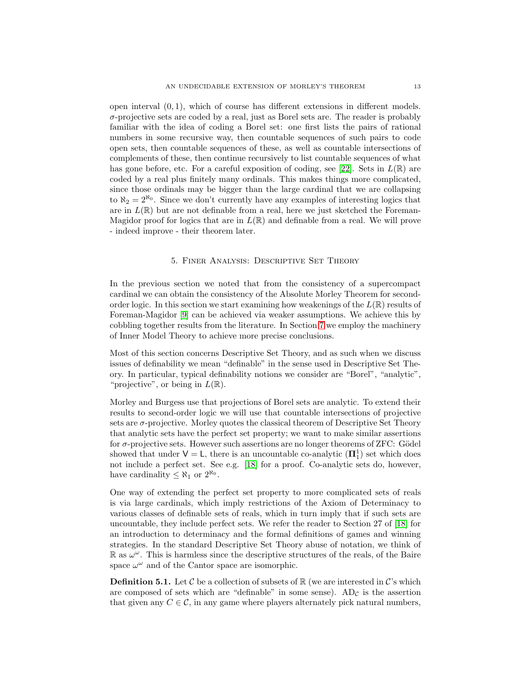open interval  $(0, 1)$ , which of course has different extensions in different models.  $\sigma$ -projective sets are coded by a real, just as Borel sets are. The reader is probably familiar with the idea of coding a Borel set: one first lists the pairs of rational numbers in some recursive way, then countable sequences of such pairs to code open sets, then countable sequences of these, as well as countable intersections of complements of these, then continue recursively to list countable sequences of what has gone before, etc. For a careful exposition of coding, see [\[22\]](#page-29-11). Sets in  $L(\mathbb{R})$  are coded by a real plus finitely many ordinals. This makes things more complicated, since those ordinals may be bigger than the large cardinal that we are collapsing to  $\aleph_2 = 2^{\aleph_0}$ . Since we don't currently have any examples of interesting logics that are in  $L(\mathbb{R})$  but are not definable from a real, here we just sketched the Foreman-Magidor proof for logics that are in  $L(\mathbb{R})$  and definable from a real. We will prove - indeed improve - their theorem later.

#### 5. Finer Analysis: Descriptive Set Theory

<span id="page-12-0"></span>In the previous section we noted that from the consistency of a supercompact cardinal we can obtain the consistency of the Absolute Morley Theorem for secondorder logic. In this section we start examining how weakenings of the  $L(\mathbb{R})$  results of Foreman-Magidor [\[9\]](#page-29-6) can be achieved via weaker assumptions. We achieve this by cobbling together results from the literature. In Section [7](#page-22-0) we employ the machinery of Inner Model Theory to achieve more precise conclusions.

Most of this section concerns Descriptive Set Theory, and as such when we discuss issues of definability we mean "definable" in the sense used in Descriptive Set Theory. In particular, typical definability notions we consider are "Borel", "analytic", "projective", or being in  $L(\mathbb{R})$ .

Morley and Burgess use that projections of Borel sets are analytic. To extend their results to second-order logic we will use that countable intersections of projective sets are  $\sigma$ -projective. Morley quotes the classical theorem of Descriptive Set Theory that analytic sets have the perfect set property; we want to make similar assertions for  $\sigma$ -projective sets. However such assertions are no longer theorems of ZFC: Gödel showed that under  $V = L$ , there is an uncountable co-analytic  $(\mathbf{\Pi}_{1}^{1})$  set which does not include a perfect set. See e.g. [\[18\]](#page-29-8) for a proof. Co-analytic sets do, however, have cardinality  $\leq \aleph_1$  or  $2^{\aleph_0}$ .

One way of extending the perfect set property to more complicated sets of reals is via large cardinals, which imply restrictions of the Axiom of Determinacy to various classes of definable sets of reals, which in turn imply that if such sets are uncountable, they include perfect sets. We refer the reader to Section 27 of [\[18\]](#page-29-8) for an introduction to determinacy and the formal definitions of games and winning strategies. In the standard Descriptive Set Theory abuse of notation, we think of  $\mathbb R$  as  $\omega^{\omega}$ . This is harmless since the descriptive structures of the reals, of the Baire space  $\omega^{\omega}$  and of the Cantor space are isomorphic.

**Definition 5.1.** Let C be a collection of subsets of  $\mathbb{R}$  (we are interested in C's which are composed of sets which are "definable" in some sense). AD<sub>C</sub> is the assertion that given any  $C \in \mathcal{C}$ , in any game where players alternately pick natural numbers,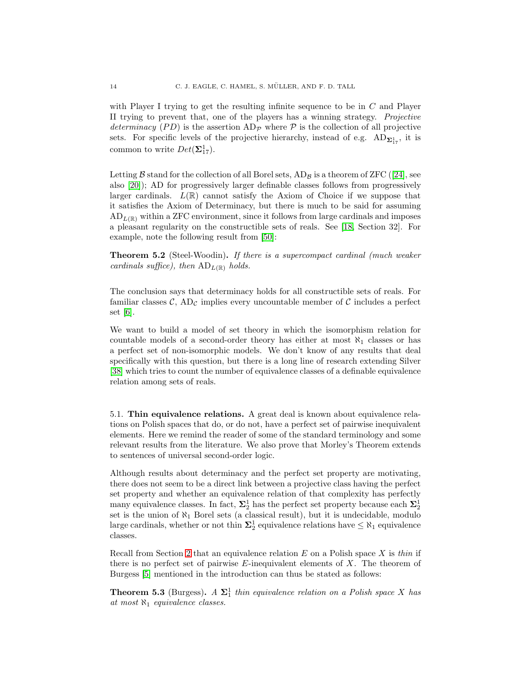with Player I trying to get the resulting infinite sequence to be in  $C$  and Player II trying to prevent that, one of the players has a winning strategy. Projective determinacy (PD) is the assertion  $AD_{\mathcal{P}}$  where  $\mathcal P$  is the collection of all projective sets. For specific levels of the projective hierarchy, instead of e.g.  $AD_{\Sigma_{17}^1}$ , it is common to write  $Det(\mathbf{\Sigma}_{17}^1)$ .

Letting $\beta$  stand for the collection of all Borel sets,  $AD_{\beta}$  is a theorem of ZFC ([\[24\]](#page-29-12), see also [\[20\]](#page-29-7)); AD for progressively larger definable classes follows from progressively larger cardinals.  $L(\mathbb{R})$  cannot satisfy the Axiom of Choice if we suppose that it satisfies the Axiom of Determinacy, but there is much to be said for assuming  $AD_{L(\mathbb{R})}$  within a ZFC environment, since it follows from large cardinals and imposes a pleasant regularity on the constructible sets of reals. See [\[18,](#page-29-8) Section 32]. For example, note the following result from [\[50\]](#page-30-3):

**Theorem 5.2** (Steel-Woodin). If there is a supercompact cardinal (much weaker cardinals suffice), then  $AD_{L(\mathbb{R})}$  holds.

The conclusion says that determinacy holds for all constructible sets of reals. For familiar classes  $\mathcal{C}$ , AD<sub>C</sub> implies every uncountable member of  $\mathcal{C}$  includes a perfect set [\[6\]](#page-28-4).

We want to build a model of set theory in which the isomorphism relation for countable models of a second-order theory has either at most  $\aleph_1$  classes or has a perfect set of non-isomorphic models. We don't know of any results that deal specifically with this question, but there is a long line of research extending Silver [\[38\]](#page-29-13) which tries to count the number of equivalence classes of a definable equivalence relation among sets of reals.

5.1. Thin equivalence relations. A great deal is known about equivalence relations on Polish spaces that do, or do not, have a perfect set of pairwise inequivalent elements. Here we remind the reader of some of the standard terminology and some relevant results from the literature. We also prove that Morley's Theorem extends to sentences of universal second-order logic.

Although results about determinacy and the perfect set property are motivating, there does not seem to be a direct link between a projective class having the perfect set property and whether an equivalence relation of that complexity has perfectly many equivalence classes. In fact,  $\Sigma^1_2$  has the perfect set property because each  $\Sigma^1_2$ set is the union of  $\aleph_1$  Borel sets (a classical result), but it is undecidable, modulo large cardinals, whether or not thin  $\Sigma_2^1$  equivalence relations have  $\leq \aleph_1$  equivalence classes.

Recall from Section [2](#page-2-0) that an equivalence relation  $E$  on a Polish space  $X$  is thin if there is no perfect set of pairwise  $E$ -inequivalent elements of  $X$ . The theorem of Burgess [\[5\]](#page-28-0) mentioned in the introduction can thus be stated as follows:

<span id="page-13-0"></span>**Theorem 5.3** (Burgess).  $A \Sigma_1^1$  thin equivalence relation on a Polish space X has at most  $\aleph_1$  equivalence classes.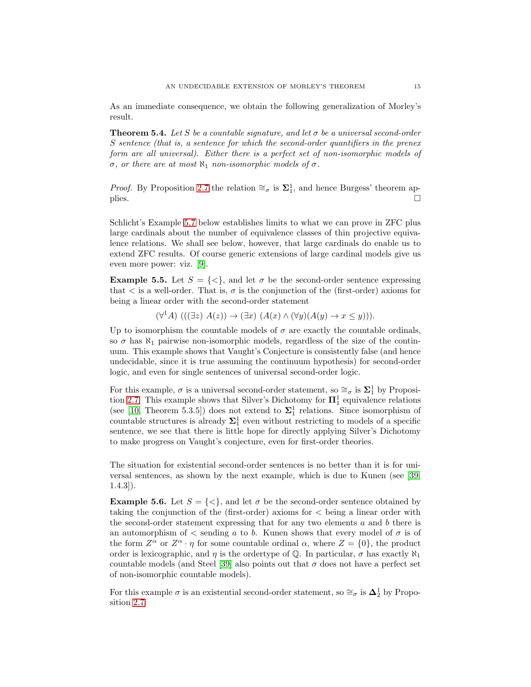As an immediate consequence, we obtain the following generalization of Morley's result.

**Theorem 5.4.** Let S be a countable signature, and let  $\sigma$  be a universal second-order S sentence (that is, a sentence for which the second-order quantifiers in the prenex form are all universal). Either there is a perfect set of non-isomorphic models of σ, or there are at most  $\aleph_1$  non-isomorphic models of σ.

*Proof.* By Proposition [2.7](#page-6-2) the relation  $\cong_{\sigma}$  is  $\Sigma_1^1$ , and hence Burgess' theorem applies.  $\Box$ 

Schlicht's Example [5.7](#page-15-0) below establishes limits to what we can prove in ZFC plus large cardinals about the number of equivalence classes of thin projective equivalence relations. We shall see below, however, that large cardinals do enable us to extend ZFC results. Of course generic extensions of large cardinal models give us even more power: viz. [\[9\]](#page-29-6).

**Example 5.5.** Let  $S = \{ \leq \}$ , and let  $\sigma$  be the second-order sentence expressing that  $\lt$  is a well-order. That is,  $\sigma$  is the conjunction of the (first-order) axioms for being a linear order with the second-order statement

 $(\forall^1 A) (((\exists z) A(z)) \rightarrow (\exists x) (A(x) \wedge (\forall y) (A(y) \rightarrow x \le y))).$ 

Up to isomorphism the countable models of  $\sigma$  are exactly the countable ordinals, so  $\sigma$  has  $\aleph_1$  pairwise non-isomorphic models, regardless of the size of the continuum. This example shows that Vaught's Conjecture is consistently false (and hence undecidable, since it is true assuming the continuum hypothesis) for second-order logic, and even for single sentences of universal second-order logic.

For this example,  $\sigma$  is a universal second-order statement, so  $\cong_{\sigma}$  is  $\Sigma_1^1$  by Proposi-tion [2.7.](#page-6-2) This example shows that Silver's Dichotomy for  $\Pi_1^1$  equivalence relations (see [\[10,](#page-29-5) Theorem 5.3.5]) does not extend to  $\Sigma_1^1$  relations. Since isomorphism of countable structures is already  $\Sigma_1^1$  even without restricting to models of a specific sentence, we see that there is little hope for directly applying Silver's Dichotomy to make progress on Vaught's conjecture, even for first-order theories.

The situation for existential second-order sentences is no better than it is for universal sentences, as shown by the next example, which is due to Kunen (see [\[39,](#page-29-0) 1.4.3]).

**Example 5.6.** Let  $S = \{ \leq \}$ , and let  $\sigma$  be the second-order sentence obtained by taking the conjunction of the (first-order) axioms for  $\lt$  being a linear order with the second-order statement expressing that for any two elements  $a$  and  $b$  there is an automorphism of  $\lt$  sending a to b. Kunen shows that every model of  $\sigma$  is of the form  $Z^{\alpha}$  or  $Z^{\alpha} \cdot \eta$  for some countable ordinal  $\alpha$ , where  $Z = \{0\}$ , the product order is lexicographic, and  $\eta$  is the ordertype of  $\mathbb{Q}$ . In particular,  $\sigma$  has exactly  $\aleph_1$ countable models (and Steel [\[39\]](#page-29-0) also points out that  $\sigma$  does not have a perfect set of non-isomorphic countable models).

For this example  $\sigma$  is an existential second-order statement, so  $\cong_{\sigma}$  is  $\mathbf{\Delta}^1_2$  by Proposition [2.7.](#page-6-2)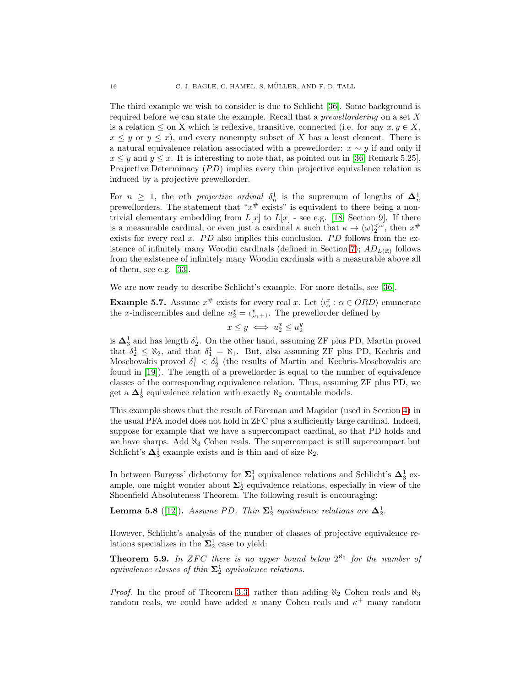The third example we wish to consider is due to Schlicht [\[36\]](#page-29-14). Some background is required before we can state the example. Recall that a *prewellordering* on a set  $X$ is a relation  $\leq$  on X which is reflexive, transitive, connected (i.e. for any  $x, y \in X$ ,  $x \leq y$  or  $y \leq x$ ), and every nonempty subset of X has a least element. There is a natural equivalence relation associated with a prewellorder:  $x \sim y$  if and only if  $x \leq y$  and  $y \leq x$ . It is interesting to note that, as pointed out in [\[36,](#page-29-14) Remark 5.25], Projective Determinacy  $(PD)$  implies every thin projective equivalence relation is induced by a projective prewellorder.

For  $n \geq 1$ , the *n*th *projective ordinal*  $\delta_n^1$  is the supremum of lengths of  $\Delta_n^1$ prewellorders. The statement that " $x^{\#}$  exists" is equivalent to there being a nontrivial elementary embedding from  $L[x]$  to  $L[x]$  - see e.g. [\[18,](#page-29-8) Section 9]. If there is a measurable cardinal, or even just a cardinal  $\kappa$  such that  $\kappa \to (\omega)_{2}^{<\omega}$ , then  $x^{\#}$ exists for every real  $x$ .  $PD$  also implies this conclusion.  $PD$  follows from the ex-istence of infinitely many Woodin cardinals (defined in Section [7\)](#page-22-0);  $AD_{L(R)}$  follows from the existence of infinitely many Woodin cardinals with a measurable above all of them, see e.g. [\[33\]](#page-29-15).

We are now ready to describe Schlicht's example. For more details, see [\[36\]](#page-29-14).

<span id="page-15-0"></span>**Example 5.7.** Assume  $x^{\#}$  exists for every real x. Let  $\langle \iota_{\alpha}^{x} : \alpha \in ORD \rangle$  enumerate the x-indiscernibles and define  $u_2^x = \iota_{\omega_1+1}^x$ . The prewellorder defined by

$$
x \le y \iff u_2^x \le u_2^y
$$

is  $\Delta_3^1$  and has length  $\delta_2^1$ . On the other hand, assuming ZF plus PD, Martin proved that  $\delta_2^1 \leq \aleph_2$ , and that  $\delta_1^1 = \aleph_1$ . But, also assuming ZF plus PD, Kechris and Moschovakis proved  $\delta_1^1 < \delta_2^1$  (the results of Martin and Kechris-Moschovakis are found in [\[19\]](#page-29-16)). The length of a prewellorder is equal to the number of equivalence classes of the corresponding equivalence relation. Thus, assuming ZF plus PD, we get a  $\Delta_3^1$  equivalence relation with exactly  $\aleph_2$  countable models.

This example shows that the result of Foreman and Magidor (used in Section [4\)](#page-9-0) in the usual PFA model does not hold in ZFC plus a sufficiently large cardinal. Indeed, suppose for example that we have a supercompact cardinal, so that PD holds and we have sharps. Add  $\aleph_3$  Cohen reals. The supercompact is still supercompact but Schlicht's  $\Delta_3^1$  example exists and is thin and of size  $\aleph_2$ .

In between Burgess' dichotomy for  $\Sigma^1_1$  equivalence relations and Schlicht's  $\Delta^1_3$  example, one might wonder about  $\Sigma^1_2$  equivalence relations, especially in view of the Shoenfield Absoluteness Theorem. The following result is encouraging:

<span id="page-15-2"></span>**Lemma 5.8** ([\[12\]](#page-29-17)). Assume PD. Thin  $\Sigma^1_2$  equivalence relations are  $\Delta^1_2$ .

However, Schlicht's analysis of the number of classes of projective equivalence relations specializes in the  $\Sigma_2^1$  case to yield:

<span id="page-15-1"></span>**Theorem 5.9.** In ZFC there is no upper bound below  $2^{\aleph_0}$  for the number of equivalence classes of thin  $\Sigma_2^1$  equivalence relations.

*Proof.* In the proof of Theorem [3.3,](#page-7-0) rather than adding  $\aleph_2$  Cohen reals and  $\aleph_3$ random reals, we could have added  $\kappa$  many Cohen reals and  $\kappa^+$  many random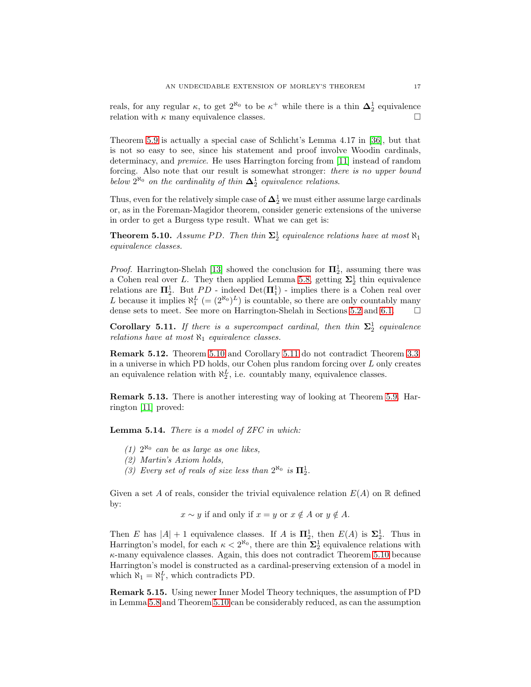reals, for any regular  $\kappa$ , to get  $2^{\aleph_0}$  to be  $\kappa^+$  while there is a thin  $\mathbf{\Delta}^1_2$  equivalence relation with  $\kappa$  many equivalence classes.

Theorem [5.9](#page-15-1) is actually a special case of Schlicht's Lemma 4.17 in [\[36\]](#page-29-14), but that is not so easy to see, since his statement and proof involve Woodin cardinals, determinacy, and premice. He uses Harrington forcing from [\[11\]](#page-29-18) instead of random forcing. Also note that our result is somewhat stronger: there is no upper bound below  $2^{\aleph_0}$  on the cardinality of thin  $\Delta_2^1$  equivalence relations.

Thus, even for the relatively simple case of  $\Delta^1_2$  we must either assume large cardinals or, as in the Foreman-Magidor theorem, consider generic extensions of the universe in order to get a Burgess type result. What we can get is:

<span id="page-16-0"></span>**Theorem 5.10.** Assume PD. Then thin  $\Sigma_2^1$  equivalence relations have at most  $\aleph_1$ equivalence classes.

*Proof.* Harrington-Shelah [\[13\]](#page-29-19) showed the conclusion for  $\Pi_2^1$ , assuming there was a Cohen real over L. They then applied Lemma [5.8,](#page-15-2) getting  $\Sigma^1_2$  thin equivalence relations are  $\Pi_2^1$ . But  $PD$  - indeed  $Det(\Pi_1^1)$  - implies there is a Cohen real over L because it implies  $\aleph_1^L$  (=  $(2^{\aleph_0})^L$ ) is countable, so there are only countably many dense sets to meet. See more on Harrington-Shelah in Sections [5.2](#page-17-0) and [6.1.](#page-18-1)  $\Box$ 

<span id="page-16-1"></span>**Corollary 5.11.** If there is a supercompact cardinal, then thin  $\Sigma_2^1$  equivalence relations have at most  $\aleph_1$  equivalence classes.

Remark 5.12. Theorem [5.10](#page-16-0) and Corollary [5.11](#page-16-1) do not contradict Theorem [3.3:](#page-7-0) in a universe in which PD holds, our Cohen plus random forcing over L only creates an equivalence relation with  $\aleph_2^L$ , i.e. countably many, equivalence classes.

Remark 5.13. There is another interesting way of looking at Theorem [5.9.](#page-15-1) Harrington [\[11\]](#page-29-18) proved:

Lemma 5.14. There is a model of ZFC in which:

- (1)  $2^{\aleph_0}$  can be as large as one likes,
- (2) Martin's Axiom holds,
- (3) Every set of reals of size less than  $2^{\aleph_0}$  is  $\Pi_2^1$ .

Given a set A of reals, consider the trivial equivalence relation  $E(A)$  on R defined by:

 $x \sim y$  if and only if  $x = y$  or  $x \notin A$  or  $y \notin A$ .

Then E has  $|A| + 1$  equivalence classes. If A is  $\mathbb{\Pi}^1_2$ , then  $E(A)$  is  $\Sigma^1_2$ . Thus in Harrington's model, for each  $\kappa < 2^{\aleph_0}$ , there are thin  $\Sigma_2^1$  equivalence relations with  $\kappa$ -many equivalence classes. Again, this does not contradict Theorem [5.10](#page-16-0) because Harrington's model is constructed as a cardinal-preserving extension of a model in which  $\aleph_1 = \aleph_1^L$ , which contradicts PD.

Remark 5.15. Using newer Inner Model Theory techniques, the assumption of PD in Lemma [5.8](#page-15-2) and Theorem [5.10](#page-16-0) can be considerably reduced, as can the assumption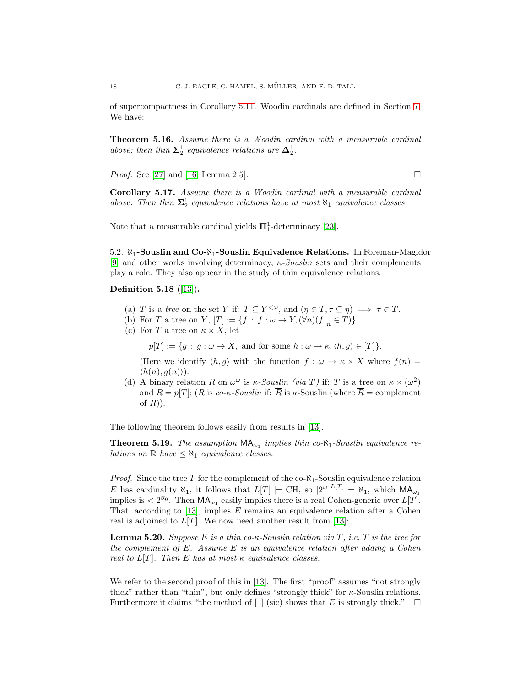of supercompactness in Corollary [5.11.](#page-16-1) Woodin cardinals are defined in Section [7.](#page-22-0) We have:

Theorem 5.16. Assume there is a Woodin cardinal with a measurable cardinal above; then thin  $\Sigma_2^1$  equivalence relations are  $\Delta_2^1$ .

*Proof.* See [\[27\]](#page-29-20) and [\[16,](#page-29-21) Lemma 2.5].

Corollary 5.17. Assume there is a Woodin cardinal with a measurable cardinal above. Then thin  $\Sigma_2^1$  equivalence relations have at most  $\aleph_1$  equivalence classes.

<span id="page-17-0"></span>Note that a measurable cardinal yields  $\Pi_1^1$ -determinacy [\[23\]](#page-29-22).

5.2.  $\aleph_1$ -Souslin and Co- $\aleph_1$ -Souslin Equivalence Relations. In Foreman-Magidor [\[9\]](#page-29-6) and other works involving determinacy,  $\kappa$ -Souslin sets and their complements play a role. They also appear in the study of thin equivalence relations.

Definition 5.18 ([\[13\]](#page-29-19)).

- (a) T is a tree on the set Y if:  $T \subseteq Y^{\leq \omega}$ , and  $(\eta \in T, \tau \subseteq \eta) \implies \tau \in T$ .
- (b) For T a tree on Y,  $[T] := \{f : f : \omega \to Y, (\forall n)(f\big|_{n} \in T)\}.$
- (c) For T a tree on  $\kappa \times X$ , let

 $p[T] := \{g : g : \omega \to X, \text{ and for some } h : \omega \to \kappa, \langle h, g \rangle \in [T] \}.$ 

(Here we identify  $\langle h, g \rangle$  with the function  $f : \omega \to \kappa \times X$  where  $f(n) =$  $\langle h(n), g(n)\rangle$ .

(d) A binary relation R on  $\omega^{\omega}$  is  $\kappa$ -Souslin (via T) if: T is a tree on  $\kappa \times (\omega^2)$ and  $R = p[T]$ ; (R is co-κ-Souslin if:  $\overline{R}$  is κ-Souslin (where  $\overline{R}$  = complement of  $R$ ).

The following theorem follows easily from results in [\[13\]](#page-29-19).

**Theorem 5.19.** The assumption  $MA_{\omega_1}$  implies thin co- $\aleph_1$ -Souslin equivalence relations on  $\mathbb R$  have  $\leq \aleph_1$  equivalence classes.

*Proof.* Since the tree T for the complement of the co- $\aleph_1$ -Souslin equivalence relation E has cardinality  $\aleph_1$ , it follows that  $L[T] \models \text{CH}$ , so  $|2^{\omega}|^{L[T]} = \aleph_1$ , which  $\mathsf{MA}_{\omega_1}$ implies is  $\langle 2^{N_0} \cdot \text{Then } \mathsf{MA}_{\omega_1}$  easily implies there is a real Cohen-generic over  $L[T]$ . That, according to  $[13]$ , implies E remains an equivalence relation after a Cohen real is adjoined to  $L[T]$ . We now need another result from [\[13\]](#page-29-19):

**Lemma 5.20.** Suppose E is a thin co- $\kappa$ -Souslin relation via T, i.e. T is the tree for the complement of E. Assume E is an equivalence relation after adding a Cohen real to  $L[T]$ . Then E has at most  $\kappa$  equivalence classes.

We refer to the second proof of this in [\[13\]](#page-29-19). The first "proof" assumes "not strongly thick" rather than "thin", but only defines "strongly thick" for  $\kappa$ -Souslin relations. Furthermore it claims "the method of  $\lceil \cdot \rceil$  (sic) shows that E is strongly thick."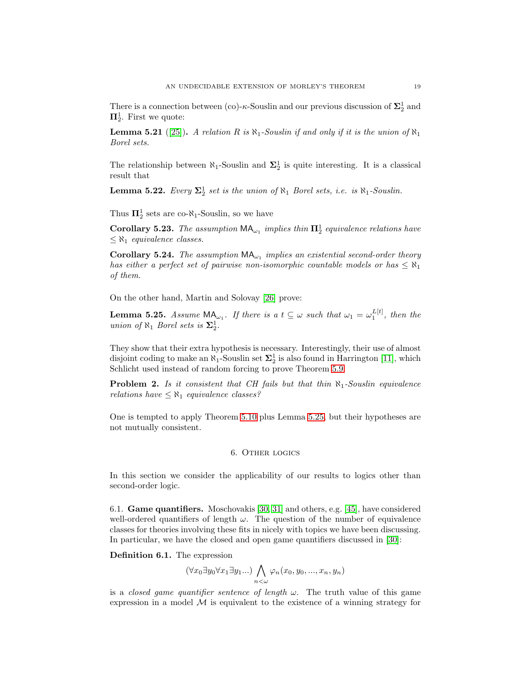There is a connection between (co)- $\kappa$ -Souslin and our previous discussion of  $\Sigma^1_2$  and  $\Pi^1_2$ . First we quote:

**Lemma 5.21** ([\[25\]](#page-29-23)). A relation R is  $\aleph_1$ -Souslin if and only if it is the union of  $\aleph_1$ Borel sets.

The relationship between  $\aleph_1$ -Souslin and  $\Sigma_2^1$  is quite interesting. It is a classical result that

**Lemma 5.22.** Every  $\Sigma_2^1$  set is the union of  $\aleph_1$  Borel sets, i.e. is  $\aleph_1$ -Souslin.

Thus  $\Pi_2^1$  sets are co- $\aleph_1$ -Souslin, so we have

Corollary 5.23. The assumption  $\mathsf{MA}_{\omega_1}$  implies thin  $\Pi_2^1$  equivalence relations have  $\leq \aleph_1$  equivalence classes.

<span id="page-18-3"></span>Corollary 5.24. The assumption  $MA_{\omega_1}$  implies an existential second-order theory has either a perfect set of pairwise non-isomorphic countable models or has  $\leq \aleph_1$ of them.

On the other hand, Martin and Solovay [\[26\]](#page-29-24) prove:

<span id="page-18-2"></span>**Lemma 5.25.** Assume  $MA_{\omega_1}$ . If there is a  $t \subseteq \omega$  such that  $\omega_1 = \omega_1^{L[t]}$ , then the union of  $\aleph_1$  Borel sets is  $\Sigma_2^1$ .

They show that their extra hypothesis is necessary. Interestingly, their use of almost disjoint coding to make an  $\aleph_1$ -Souslin set  $\Sigma^1_2$  is also found in Harrington [\[11\]](#page-29-18), which Schlicht used instead of random forcing to prove Theorem [5.9.](#page-15-1)

**Problem 2.** Is it consistent that CH fails but that thin  $\aleph_1$ -Souslin equivalence relations have  $\leq \aleph_1$  equivalence classes?

<span id="page-18-0"></span>One is tempted to apply Theorem [5.10](#page-16-0) plus Lemma [5.25,](#page-18-2) but their hypotheses are not mutually consistent.

# 6. Other logics

<span id="page-18-1"></span>In this section we consider the applicability of our results to logics other than second-order logic.

6.1. Game quantifiers. Moschovakis [\[30,](#page-29-25) [31\]](#page-29-26) and others, e.g. [\[45\]](#page-30-1), have considered well-ordered quantifiers of length  $\omega$ . The question of the number of equivalence classes for theories involving these fits in nicely with topics we have been discussing. In particular, we have the closed and open game quantifiers discussed in [\[30\]](#page-29-25):

Definition 6.1. The expression

$$
(\forall x_0 \exists y_0 \forall x_1 \exists y_1 \dots) \bigwedge_{n < \omega} \varphi_n(x_0, y_0, \dots, x_n, y_n)
$$

is a *closed game quantifier sentence of length*  $\omega$ . The truth value of this game expression in a model  $M$  is equivalent to the existence of a winning strategy for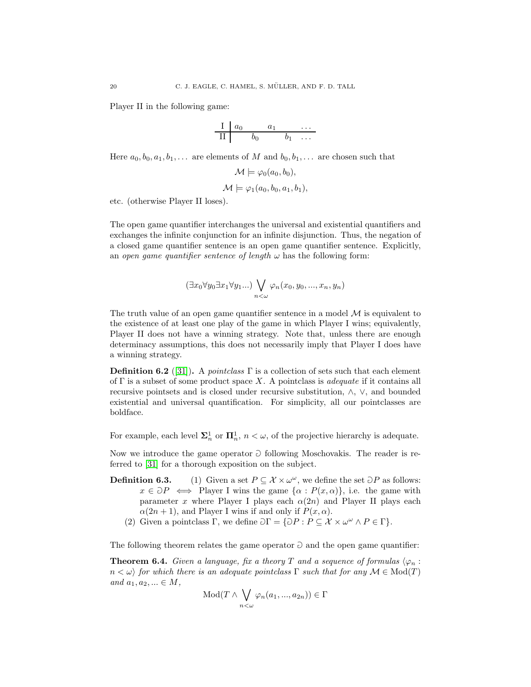Player II in the following game:

$$
\begin{array}{c|cccc}\nI & a_0 & a_1 & \cdots \\
\hline\nII & b_0 & b_1 & \cdots\n\end{array}
$$

Here  $a_0, b_0, a_1, b_1, \ldots$  are elements of M and  $b_0, b_1, \ldots$  are chosen such that

$$
\mathcal{M} \models \varphi_0(a_0, b_0), \\ \mathcal{M} \models \varphi_1(a_0, b_0, a_1, b_1),
$$

etc. (otherwise Player II loses).

The open game quantifier interchanges the universal and existential quantifiers and exchanges the infinite conjunction for an infinite disjunction. Thus, the negation of a closed game quantifier sentence is an open game quantifier sentence. Explicitly, an open game quantifier sentence of length  $\omega$  has the following form:

$$
(\exists x_0 \forall y_0 \exists x_1 \forall y_1 \dots) \bigvee_{n < \omega} \varphi_n(x_0, y_0, \dots, x_n, y_n)
$$

The truth value of an open game quantifier sentence in a model  $M$  is equivalent to the existence of at least one play of the game in which Player I wins; equivalently, Player II does not have a winning strategy. Note that, unless there are enough determinacy assumptions, this does not necessarily imply that Player I does have a winning strategy.

**Definition 6.2** ([\[31\]](#page-29-26)). A pointclass  $\Gamma$  is a collection of sets such that each element of  $\Gamma$  is a subset of some product space X. A pointclass is *adequate* if it contains all recursive pointsets and is closed under recursive substitution, ∧, ∨, and bounded existential and universal quantification. For simplicity, all our pointclasses are boldface.

For example, each level  $\Sigma_n^1$  or  $\Pi_n^1$ ,  $n < \omega$ , of the projective hierarchy is adequate.

Now we introduce the game operator  $\partial$  following Moschovakis. The reader is referred to [\[31\]](#page-29-26) for a thorough exposition on the subject.

- **Definition 6.3.** (1) Given a set  $P \subseteq \mathcal{X} \times \omega^{\omega}$ , we define the set  $\supset P$  as follows:  $x \in \partial P \iff$  Player I wins the game  $\{\alpha : P(x, \alpha)\}\)$ , i.e. the game with parameter x where Player I plays each  $\alpha(2n)$  and Player II plays each  $\alpha(2n+1)$ , and Player I wins if and only if  $P(x, \alpha)$ .
	- (2) Given a pointclass  $\Gamma$ , we define  $\partial \Gamma = {\partial P : P \subseteq \mathcal{X} \times \omega^{\omega} \wedge P \in \Gamma}.$

The following theorem relates the game operator  $\partial$  and the open game quantifier:

**Theorem 6.4.** Given a language, fix a theory T and a sequence of formulas  $\langle \varphi_n :$  $n < \omega$ ) for which there is an adequate pointclass  $\Gamma$  such that for any  $\mathcal{M} \in Mod(T)$ and  $a_1, a_2, ... \in M$ ,

$$
Mod(T \wedge \bigvee_{n < \omega} \varphi_n(a_1, ..., a_{2n})) \in \Gamma
$$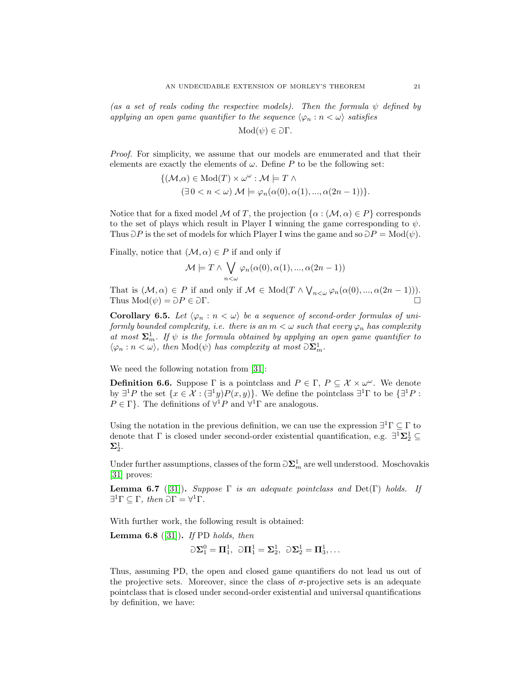(as a set of reals coding the respective models). Then the formula  $\psi$  defined by applying an open game quantifier to the sequence  $\langle \varphi_n : n < \omega \rangle$  satisfies

$$
Mod(\psi) \in \partial \Gamma.
$$

Proof. For simplicity, we assume that our models are enumerated and that their elements are exactly the elements of  $\omega$ . Define P to be the following set:

$$
\{(\mathcal{M}, \alpha) \in Mod(T) \times \omega^{\omega} : \mathcal{M} \models T \land ( \exists 0 < n < \omega) \mathcal{M} \models \varphi_n(\alpha(0), \alpha(1), ..., \alpha(2n-1)) \}.
$$

Notice that for a fixed model M of T, the projection  $\{\alpha : (\mathcal{M}, \alpha) \in P\}$  corresponds to the set of plays which result in Player I winning the game corresponding to  $\psi$ . Thus  $\partial P$  is the set of models for which Player I wins the game and so  $\partial P = Mod(\psi)$ .

Finally, notice that  $(M, \alpha) \in P$  if and only if

$$
\mathcal{M} \models T \land \bigvee_{n < \omega} \varphi_n(\alpha(0), \alpha(1), ..., \alpha(2n-1))
$$

That is  $(\mathcal{M}, \alpha) \in P$  if and only if  $\mathcal{M} \in Mod(T \wedge \bigvee_{n<\omega} \varphi_n(\alpha(0), ..., \alpha(2n-1))).$ Thus  $\text{Mod}(\psi) = \partial P \in \partial \Gamma$ .

**Corollary 6.5.** Let  $\langle \varphi_n : n \langle \varphi \rangle$  be a sequence of second-order formulas of uniformly bounded complexity, i.e. there is an  $m < \omega$  such that every  $\varphi_n$  has complexity at most  $\Sigma_m^1$ . If  $\psi$  is the formula obtained by applying an open game quantifier to  $\langle \varphi_n : n < \omega \rangle$ , then  $Mod(\psi)$  has complexity at most  $\Im \Sigma_m^1$ .

We need the following notation from [\[31\]](#page-29-26):

**Definition 6.6.** Suppose  $\Gamma$  is a pointclass and  $P \in \Gamma$ ,  $P \subseteq \mathcal{X} \times \omega^{\omega}$ . We denote by  $\exists^1 P$  the set  $\{x \in \mathcal{X} : (\exists^1 y)P(x, y)\}.$  We define the pointclass  $\exists^1 \Gamma$  to be  $\{\exists^1 P :$  $P \in \Gamma$ . The definitions of  $\forall^1 P$  and  $\forall^1 \Gamma$  are analogous.

Using the notation in the previous definition, we can use the expression  $\exists^1 \Gamma \subseteq \Gamma$  to denote that  $\Gamma$  is closed under second-order existential quantification, e.g.  $\exists^1\Sigma^1_2\subseteq$  $\Sigma^1_2.$ 

Under further assumptions, classes of the form  $\partial \Sigma_m^1$  are well understood. Moschovakis [\[31\]](#page-29-26) proves:

Lemma 6.7 ([\[31\]](#page-29-26)). Suppose  $\Gamma$  is an adequate pointclass and Det(Γ) holds. If  $\exists^1 \Gamma \subseteq \Gamma$ , then  $\partial \Gamma = \forall^1 \Gamma$ .

With further work, the following result is obtained:

**Lemma 6.8** ([\[31\]](#page-29-26)). If PD holds, then

 $\Im \Sigma_1^0 = \Pi_1^1, \ \Im \Pi_1^1 = \Sigma_2^1, \ \Im \Sigma_2^1 = \Pi_3^1, \ldots$ 

Thus, assuming PD, the open and closed game quantifiers do not lead us out of the projective sets. Moreover, since the class of  $\sigma$ -projective sets is an adequate pointclass that is closed under second-order existential and universal quantifications by definition, we have: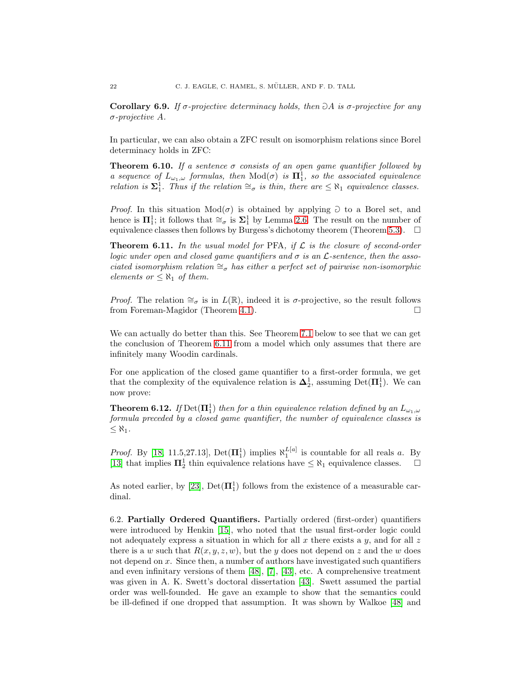Corollary 6.9. If  $\sigma$ -projective determinacy holds, then  $\partial A$  is  $\sigma$ -projective for any σ-projective A.

In particular, we can also obtain a ZFC result on isomorphism relations since Borel determinacy holds in ZFC:

**Theorem 6.10.** If a sentence  $\sigma$  consists of an open game quantifier followed by a sequence of  $L_{\omega_1,\omega}$  formulas, then  $\text{Mod}(\sigma)$  is  $\mathbf{\Pi}^1_1$ , so the associated equivalence relation is  $\Sigma_1^1$ . Thus if the relation  $\cong_{\sigma}$  is thin, there are  $\leq \aleph_1$  equivalence classes.

*Proof.* In this situation  $Mod(\sigma)$  is obtained by applying  $\supset$  to a Borel set, and hence is  $\Pi_1^1$ ; it follows that  $\cong_{\sigma}$  is  $\Sigma_1^1$  by Lemma [2.6.](#page-5-0) The result on the number of equivalence classes then follows by Burgess's dichotomy theorem (Theorem [5.3\)](#page-13-0).  $\Box$ 

<span id="page-21-0"></span>**Theorem 6.11.** In the usual model for PFA, if  $\mathcal{L}$  is the closure of second-order logic under open and closed game quantifiers and  $\sigma$  is an  $\mathcal{L}\text{-sentence}$ , then the associated isomorphism relation  $\cong_{\sigma}$  has either a perfect set of pairwise non-isomorphic elements or  $\leq \aleph_1$  of them.

*Proof.* The relation  $\cong_{\sigma}$  is in  $L(\mathbb{R})$ , indeed it is  $\sigma$ -projective, so the result follows from Foreman-Magidor (Theorem [4.1\)](#page-10-0).

We can actually do better than this. See Theorem [7.1](#page-23-0) below to see that we can get the conclusion of Theorem [6.11](#page-21-0) from a model which only assumes that there are infinitely many Woodin cardinals.

For one application of the closed game quantifier to a first-order formula, we get that the complexity of the equivalence relation is  $\Delta_2^1$ , assuming Det( $\Pi_1^1$ ). We can now prove:

**Theorem 6.12.** If  $Det(\mathbf{\Pi}^1_1)$  then for a thin equivalence relation defined by an  $L_{\omega_1,\omega}$ formula preceded by a closed game quantifier, the number of equivalence classes is  $\leq \aleph_1$ .

*Proof.* By [\[18,](#page-29-8) 11.5,27.13], Det $(\Pi_1^1)$  implies  $\aleph_1^{L[a]}$  is countable for all reals a. By [\[13\]](#page-29-19) that implies  $\Pi_2^1$  thin equivalence relations have  $\leq \aleph_1$  equivalence classes.  $\Box$ 

As noted earlier, by [\[23\]](#page-29-22),  $Det(\mathbf{\Pi}^1_1)$  follows from the existence of a measurable cardinal.

6.2. Partially Ordered Quantifiers. Partially ordered (first-order) quantifiers were introduced by Henkin [\[15\]](#page-29-27), who noted that the usual first-order logic could not adequately express a situation in which for all x there exists a  $y$ , and for all z there is a w such that  $R(x, y, z, w)$ , but the y does not depend on z and the w does not depend on x. Since then, a number of authors have investigated such quantifiers and even infinitary versions of them [\[48\]](#page-30-4), [\[7\]](#page-28-5), [\[43\]](#page-30-5), etc. A comprehensive treatment was given in A. K. Swett's doctoral dissertation [\[43\]](#page-30-5). Swett assumed the partial order was well-founded. He gave an example to show that the semantics could be ill-defined if one dropped that assumption. It was shown by Walkoe [\[48\]](#page-30-4) and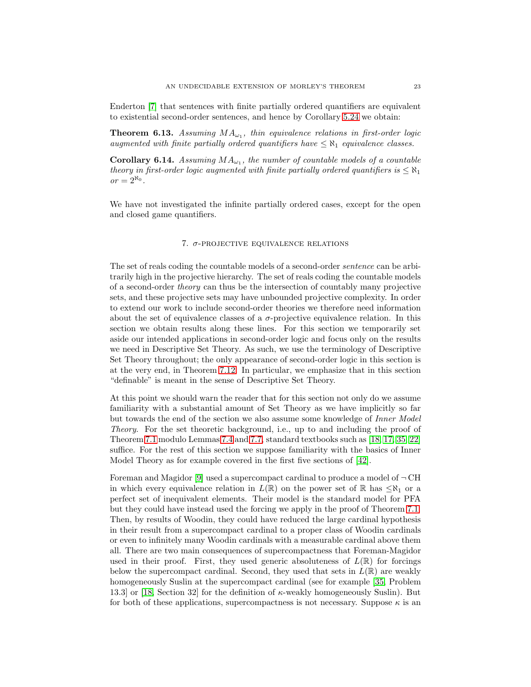Enderton [\[7\]](#page-28-5) that sentences with finite partially ordered quantifiers are equivalent to existential second-order sentences, and hence by Corollary [5.24](#page-18-3) we obtain:

**Theorem 6.13.** Assuming  $MA_{\omega_1}$ , thin equivalence relations in first-order logic augmented with finite partially ordered quantifiers have  $\leq \aleph_1$  equivalence classes.

**Corollary 6.14.** Assuming  $MA_{\omega_1}$ , the number of countable models of a countable theory in first-order logic augmented with finite partially ordered quantifiers is  $\leq \aleph_1$  $or = 2^{\aleph_0}.$ 

<span id="page-22-0"></span>We have not investigated the infinite partially ordered cases, except for the open and closed game quantifiers.

# 7.  $\sigma$ -PROJECTIVE EQUIVALENCE RELATIONS

The set of reals coding the countable models of a second-order sentence can be arbitrarily high in the projective hierarchy. The set of reals coding the countable models of a second-order theory can thus be the intersection of countably many projective sets, and these projective sets may have unbounded projective complexity. In order to extend our work to include second-order theories we therefore need information about the set of equivalence classes of a  $\sigma$ -projective equivalence relation. In this section we obtain results along these lines. For this section we temporarily set aside our intended applications in second-order logic and focus only on the results we need in Descriptive Set Theory. As such, we use the terminology of Descriptive Set Theory throughout; the only appearance of second-order logic in this section is at the very end, in Theorem [7.12.](#page-28-6) In particular, we emphasize that in this section "definable" is meant in the sense of Descriptive Set Theory.

At this point we should warn the reader that for this section not only do we assume familiarity with a substantial amount of Set Theory as we have implicitly so far but towards the end of the section we also assume some knowledge of Inner Model Theory. For the set theoretic background, i.e., up to and including the proof of Theorem [7.1](#page-23-0) modulo Lemmas [7.4](#page-24-0) and [7.7,](#page-24-1) standard textbooks such as [\[18,](#page-29-8) [17,](#page-29-10) [35,](#page-29-28) [22\]](#page-29-11) suffice. For the rest of this section we suppose familiarity with the basics of Inner Model Theory as for example covered in the first five sections of [\[42\]](#page-29-29).

Foreman and Magidor [\[9\]](#page-29-6) used a supercompact cardinal to produce a model of  $\neg$  CH in which every equivalence relation in  $L(\mathbb{R})$  on the power set of  $\mathbb{R}$  has  $\leq \aleph_1$  or a perfect set of inequivalent elements. Their model is the standard model for PFA but they could have instead used the forcing we apply in the proof of Theorem [7.1.](#page-23-0) Then, by results of Woodin, they could have reduced the large cardinal hypothesis in their result from a supercompact cardinal to a proper class of Woodin cardinals or even to infinitely many Woodin cardinals with a measurable cardinal above them all. There are two main consequences of supercompactness that Foreman-Magidor used in their proof. First, they used generic absoluteness of  $L(\mathbb{R})$  for forcings below the supercompact cardinal. Second, they used that sets in  $L(\mathbb{R})$  are weakly homogeneously Suslin at the supercompact cardinal (see for example [\[35,](#page-29-28) Problem 13.3] or [\[18,](#page-29-8) Section 32] for the definition of κ-weakly homogeneously Suslin). But for both of these applications, supercompactness is not necessary. Suppose  $\kappa$  is an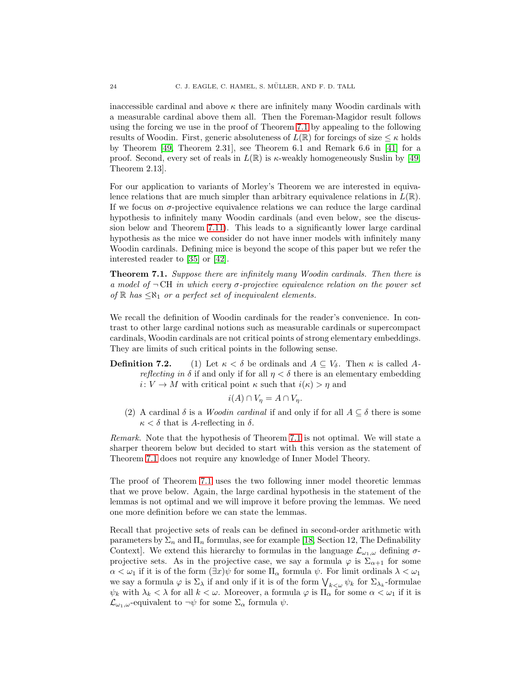inaccessible cardinal and above  $\kappa$  there are infinitely many Woodin cardinals with a measurable cardinal above them all. Then the Foreman-Magidor result follows using the forcing we use in the proof of Theorem [7.1](#page-23-0) by appealing to the following results of Woodin. First, generic absoluteness of  $L(\mathbb{R})$  for forcings of size  $\leq \kappa$  holds by Theorem [\[49,](#page-30-6) Theorem 2.31], see Theorem 6.1 and Remark 6.6 in [\[41\]](#page-29-30) for a proof. Second, every set of reals in  $L(\mathbb{R})$  is  $\kappa$ -weakly homogeneously Suslin by [\[49,](#page-30-6) Theorem 2.13].

For our application to variants of Morley's Theorem we are interested in equivalence relations that are much simpler than arbitrary equivalence relations in  $L(\mathbb{R})$ . If we focus on  $\sigma$ -projective equivalence relations we can reduce the large cardinal hypothesis to infinitely many Woodin cardinals (and even below, see the discussion below and Theorem [7.11\)](#page-28-7). This leads to a significantly lower large cardinal hypothesis as the mice we consider do not have inner models with infinitely many Woodin cardinals. Defining mice is beyond the scope of this paper but we refer the interested reader to [\[35\]](#page-29-28) or [\[42\]](#page-29-29).

<span id="page-23-0"></span>Theorem 7.1. Suppose there are infinitely many Woodin cardinals. Then there is a model of  $\neg$  CH in which every  $\sigma$ -projective equivalence relation on the power set of  $\mathbb R$  has  $\leq \aleph_1$  or a perfect set of inequivalent elements.

We recall the definition of Woodin cardinals for the reader's convenience. In contrast to other large cardinal notions such as measurable cardinals or supercompact cardinals, Woodin cardinals are not critical points of strong elementary embeddings. They are limits of such critical points in the following sense.

**Definition 7.2.** (1) Let  $\kappa < \delta$  be ordinals and  $A \subseteq V_{\delta}$ . Then  $\kappa$  is called A*reflecting in*  $\delta$  if and only if for all  $\eta < \delta$  there is an elementary embedding  $i: V \to M$  with critical point  $\kappa$  such that  $i(\kappa) > \eta$  and

$$
i(A) \cap V_{\eta} = A \cap V_{\eta}.
$$

(2) A cardinal  $\delta$  is a *Woodin cardinal* if and only if for all  $A \subseteq \delta$  there is some  $\kappa < \delta$  that is A-reflecting in  $\delta$ .

Remark. Note that the hypothesis of Theorem [7.1](#page-23-0) is not optimal. We will state a sharper theorem below but decided to start with this version as the statement of Theorem [7.1](#page-23-0) does not require any knowledge of Inner Model Theory.

The proof of Theorem [7.1](#page-23-0) uses the two following inner model theoretic lemmas that we prove below. Again, the large cardinal hypothesis in the statement of the lemmas is not optimal and we will improve it before proving the lemmas. We need one more definition before we can state the lemmas.

Recall that projective sets of reals can be defined in second-order arithmetic with parameters by  $\Sigma_n$  and  $\Pi_n$  formulas, see for example [\[18,](#page-29-8) Section 12, The Definability Context. We extend this hierarchy to formulas in the language  $\mathcal{L}_{\omega_1,\omega}$  defining  $\sigma$ projective sets. As in the projective case, we say a formula  $\varphi$  is  $\Sigma_{\alpha+1}$  for some  $\alpha < \omega_1$  if it is of the form  $(\exists x)\psi$  for some  $\Pi_{\alpha}$  formula  $\psi$ . For limit ordinals  $\lambda < \omega_1$ we say a formula  $\varphi$  is  $\Sigma_\lambda$  if and only if it is of the form  $\bigvee_{k\lt\omega}\psi_k$  for  $\Sigma_{\lambda_k}$ -formulae  $\psi_k$  with  $\lambda_k < \lambda$  for all  $k < \omega$ . Moreover, a formula  $\varphi$  is  $\Pi_\alpha$  for some  $\alpha < \omega_1$  if it is  $\mathcal{L}_{\omega_1,\omega}$ -equivalent to  $\neg\psi$  for some  $\Sigma_\alpha$  formula  $\psi$ .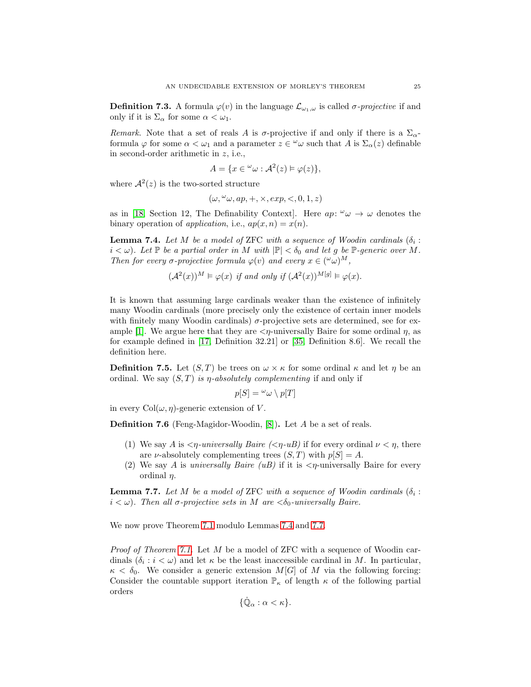**Definition 7.3.** A formula  $\varphi(v)$  in the language  $\mathcal{L}_{\omega_1,\omega}$  is called  $\sigma$ -projective if and only if it is  $\Sigma_{\alpha}$  for some  $\alpha < \omega_1$ .

Remark. Note that a set of reals A is  $\sigma$ -projective if and only if there is a  $\Sigma_{\alpha}$ formula  $\varphi$  for some  $\alpha < \omega_1$  and a parameter  $z \in \omega$  such that A is  $\Sigma_{\alpha}(z)$  definable in second-order arithmetic in z, i.e.,

$$
A = \{ x \in \omega \cup \mathcal{A}^2(z) \models \varphi(z) \},
$$

where  $\mathcal{A}^2(z)$  is the two-sorted structure

$$
(\omega, \omega, ap, +, \times, exp, <, 0, 1, z)
$$

as in [\[18,](#page-29-8) Section 12, The Definability Context]. Here  $ap: \omega \to \omega$  denotes the binary operation of *application*, i.e.,  $ap(x, n) = x(n)$ .

<span id="page-24-0"></span>**Lemma 7.4.** Let M be a model of ZFC with a sequence of Woodin cardinals  $(\delta_i :$  $i < \omega$ ). Let P be a partial order in M with  $|\mathbb{P}| < \delta_0$  and let g be P-generic over M. Then for every  $\sigma$ -projective formula  $\varphi(v)$  and every  $x \in (\alpha \omega)^M$ ,

$$
(\mathcal{A}^2(x))^M \vDash \varphi(x) \text{ if and only if } (\mathcal{A}^2(x))^{M[g]} \vDash \varphi(x).
$$

It is known that assuming large cardinals weaker than the existence of infinitely many Woodin cardinals (more precisely only the existence of certain inner models with finitely many Woodin cardinals)  $\sigma$ -projective sets are determined, see for ex-ample [\[1\]](#page-28-8). We argue here that they are  $\langle \eta$ -universally Baire for some ordinal  $\eta$ , as for example defined in [\[17,](#page-29-10) Definition 32.21] or [\[35,](#page-29-28) Definition 8.6]. We recall the definition here.

**Definition 7.5.** Let  $(S, T)$  be trees on  $\omega \times \kappa$  for some ordinal  $\kappa$  and let  $\eta$  be an ordinal. We say  $(S, T)$  is  $\eta$ -absolutely complementing if and only if

$$
p[S] = \omega \omega \setminus p[T]
$$

in every  $Col(\omega, \eta)$ -generic extension of V.

Definition 7.6 (Feng-Magidor-Woodin, [\[8\]](#page-28-9)). Let A be a set of reals.

- (1) We say A is  $\langle \eta$ -universally Baire  $(\langle \eta \cdot uB \rangle)$  if for every ordinal  $\nu \langle \eta$ , there are *ν*-absolutely complementing trees  $(S, T)$  with  $p[S] = A$ .
- (2) We say A is universally Baire (uB) if it is  $\langle \eta$ -universally Baire for every ordinal  $\eta$ .

<span id="page-24-1"></span>**Lemma 7.7.** Let M be a model of ZFC with a sequence of Woodin cardinals  $(\delta_i :$  $i < \omega$ ). Then all  $\sigma$ -projective sets in M are  $\langle \delta_0$ -universally Baire.

We now prove Theorem [7.1](#page-23-0) modulo Lemmas [7.4](#page-24-0) and [7.7.](#page-24-1)

Proof of Theorem [7.1.](#page-23-0) Let M be a model of ZFC with a sequence of Woodin cardinals  $(\delta_i : i < \omega)$  and let  $\kappa$  be the least inaccessible cardinal in M. In particular,  $\kappa < \delta_0$ . We consider a generic extension  $M[G]$  of M via the following forcing: Consider the countable support iteration  $\mathbb{P}_{\kappa}$  of length  $\kappa$  of the following partial orders

$$
\{\dot{\mathbb{Q}}_{\alpha} : \alpha < \kappa\}.
$$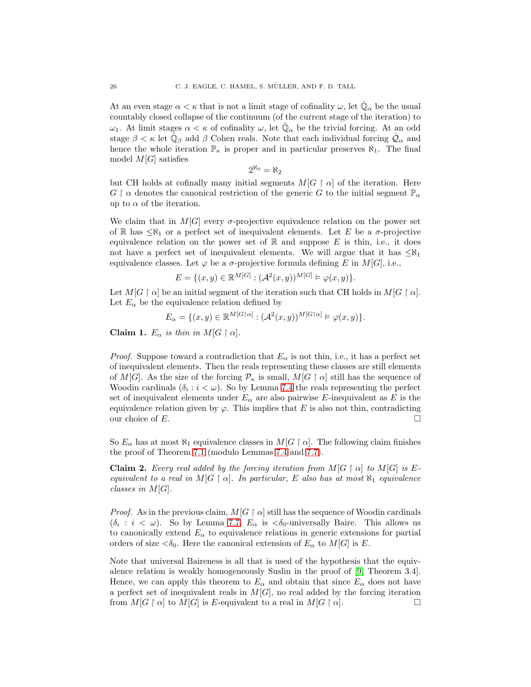At an even stage  $\alpha < \kappa$  that is not a limit stage of cofinality  $\omega$ , let  $\dot{\mathbb{Q}}_{\alpha}$  be the usual countably closed collapse of the continuum (of the current stage of the iteration) to  $ω_1$ . At limit stages  $α < κ$  of cofinality  $ω$ , let  $\dot{Q}_α$  be the trivial forcing. At an odd stage  $\beta < \kappa$  let  $\dot{\mathbb{Q}}_{\beta}$  add  $\beta$  Cohen reals. Note that each individual forcing  $\dot{\mathcal{Q}}_{\alpha}$  and hence the whole iteration  $\mathbb{P}_{\kappa}$  is proper and in particular preserves  $\aleph_1$ . The final model  $M[G]$  satisfies

$$
2^{\aleph_0} = \aleph_2
$$

but CH holds at cofinally many initial segments  $M[G \restriction \alpha]$  of the iteration. Here  $G \restriction \alpha$  denotes the canonical restriction of the generic G to the initial segment  $\mathbb{P}_{\alpha}$ up to  $\alpha$  of the iteration.

We claim that in  $M[G]$  every  $\sigma$ -projective equivalence relation on the power set of R has  $\langle \aleph_1 \text{ or a perfect set of inequivalent elements.}$  Let E be a  $\sigma$ -projective equivalence relation on the power set of  $\mathbb R$  and suppose E is thin, i.e., it does not have a perfect set of inequivalent elements. We will argue that it has  $\leq \aleph_1$ equivalence classes. Let  $\varphi$  be a  $\sigma$ -projective formula defining E in M[G], i.e.,

$$
E = \{(x, y) \in \mathbb{R}^{M[G]} : (\mathcal{A}^2(x, y))^{M[G]} \models \varphi(x, y)\}.
$$

Let  $M[G \restriction \alpha]$  be an initial segment of the iteration such that CH holds in  $M[G \restriction \alpha]$ . Let  $E_{\alpha}$  be the equivalence relation defined by

$$
E_{\alpha} = \{ (x, y) \in \mathbb{R}^{M[G\restriction \alpha]} : (\mathcal{A}^2(x, y))^{M[G\restriction \alpha]} \models \varphi(x, y) \}.
$$

Claim 1.  $E_{\alpha}$  is thin in  $M[G \restriction \alpha]$ .

*Proof.* Suppose toward a contradiction that  $E_{\alpha}$  is not thin, i.e., it has a perfect set of inequivalent elements. Then the reals representing these classes are still elements of M[G]. As the size of the forcing  $\mathcal{P}_{\kappa}$  is small,  $M[G \restriction \alpha]$  still has the sequence of Woodin cardinals  $(\delta_i : i < \omega)$ . So by Lemma [7.4](#page-24-0) the reals representing the perfect set of inequivalent elements under  $E_{\alpha}$  are also pairwise E-inequivalent as E is the equivalence relation given by  $\varphi$ . This implies that E is also not thin, contradicting our choice of E.

So  $E_{\alpha}$  has at most  $\aleph_1$  equivalence classes in  $M[G \restriction \alpha]$ . The following claim finishes the proof of Theorem [7.1](#page-23-0) (modulo Lemmas [7.4](#page-24-0) and [7.7\)](#page-24-1).

**Claim 2.** Every real added by the forcing iteration from  $M[G \restriction \alpha]$  to  $M[G]$  is Eequivalent to a real in  $M[G \restriction \alpha]$ . In particular, E also has at most  $\aleph_1$  equivalence classes in  $M[G]$ .

*Proof.* As in the previous claim,  $M[G \restriction \alpha]$  still has the sequence of Woodin cardinals  $(\delta_i : i < \omega)$ . So by Lemma [7.7,](#page-24-1)  $E_\alpha$  is  $\langle \delta_0$ -universally Baire. This allows us to canonically extend  $E_{\alpha}$  to equivalence relations in generic extensions for partial orders of size  $\langle \delta_0$ . Here the canonical extension of  $E_\alpha$  to  $M[G]$  is E.

Note that universal Baireness is all that is used of the hypothesis that the equivalence relation is weakly homogeneously Suslin in the proof of [\[9,](#page-29-6) Theorem 3.4]. Hence, we can apply this theorem to  $E_{\alpha}$  and obtain that since  $E_{\alpha}$  does not have a perfect set of inequivalent reals in  $M[G]$ , no real added by the forcing iteration from  $M[G \restriction \alpha]$  to  $M[G]$  is E-equivalent to a real in  $M[G \restriction \alpha]$ .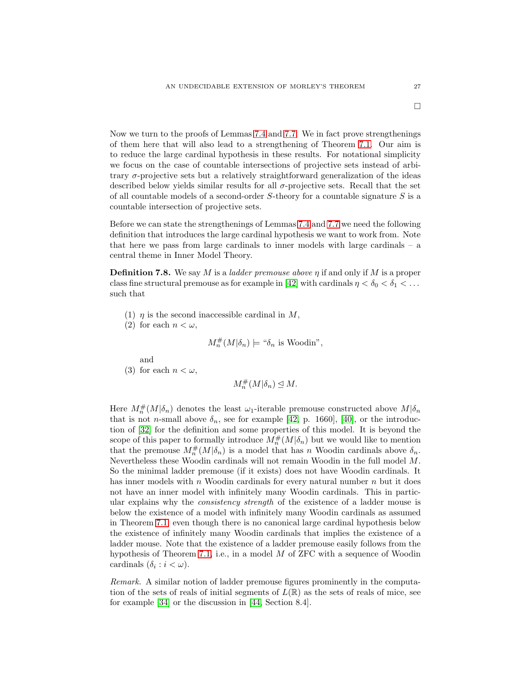Now we turn to the proofs of Lemmas [7.4](#page-24-0) and [7.7.](#page-24-1) We in fact prove strengthenings

of them here that will also lead to a strengthening of Theorem [7.1.](#page-23-0) Our aim is to reduce the large cardinal hypothesis in these results. For notational simplicity we focus on the case of countable intersections of projective sets instead of arbitrary σ-projective sets but a relatively straightforward generalization of the ideas described below yields similar results for all  $\sigma$ -projective sets. Recall that the set of all countable models of a second-order S-theory for a countable signature S is a countable intersection of projective sets.

Before we can state the strengthenings of Lemmas [7.4](#page-24-0) and [7.7](#page-24-1) we need the following definition that introduces the large cardinal hypothesis we want to work from. Note that here we pass from large cardinals to inner models with large cardinals – a central theme in Inner Model Theory.

**Definition 7.8.** We say M is a *ladder premouse above*  $\eta$  if and only if M is a proper class fine structural premouse as for example in [\[42\]](#page-29-29) with cardinals  $\eta < \delta_0 < \delta_1 < \ldots$ such that

- (1)  $\eta$  is the second inaccessible cardinal in M,
- (2) for each  $n < \omega$ ,

$$
M_n^{\#}(M|\delta_n) \models \text{``}\delta_n \text{ is Woodin''},
$$

and

(3) for each  $n < \omega$ ,

 $M_n^{\#}(M|\delta_n) \leq M.$ 

Here  $M_n^{\#}(M|\delta_n)$  denotes the least  $\omega_1$ -iterable premouse constructed above  $M|\delta_n$ that is not *n*-small above  $\delta_n$ , see for example [\[42,](#page-29-29) p. 1660], [\[40\]](#page-29-31), or the introduction of [\[32\]](#page-29-32) for the definition and some properties of this model. It is beyond the scope of this paper to formally introduce  $M_n^{\#}(M|\delta_n)$  but we would like to mention that the premouse  $M_n^{\#}(M|\delta_n)$  is a model that has n Woodin cardinals above  $\delta_n$ . Nevertheless these Woodin cardinals will not remain Woodin in the full model M. So the minimal ladder premouse (if it exists) does not have Woodin cardinals. It has inner models with  $n$  Woodin cardinals for every natural number  $n$  but it does not have an inner model with infinitely many Woodin cardinals. This in particular explains why the consistency strength of the existence of a ladder mouse is below the existence of a model with infinitely many Woodin cardinals as assumed in Theorem [7.1,](#page-23-0) even though there is no canonical large cardinal hypothesis below the existence of infinitely many Woodin cardinals that implies the existence of a ladder mouse. Note that the existence of a ladder premouse easily follows from the hypothesis of Theorem [7.1,](#page-23-0) i.e., in a model  $M$  of ZFC with a sequence of Woodin cardinals  $(\delta_i : i < \omega)$ .

Remark. A similar notion of ladder premouse figures prominently in the computation of the sets of reals of initial segments of  $L(\mathbb{R})$  as the sets of reals of mice, see for example [\[34\]](#page-29-33) or the discussion in [\[44,](#page-30-7) Section 8.4].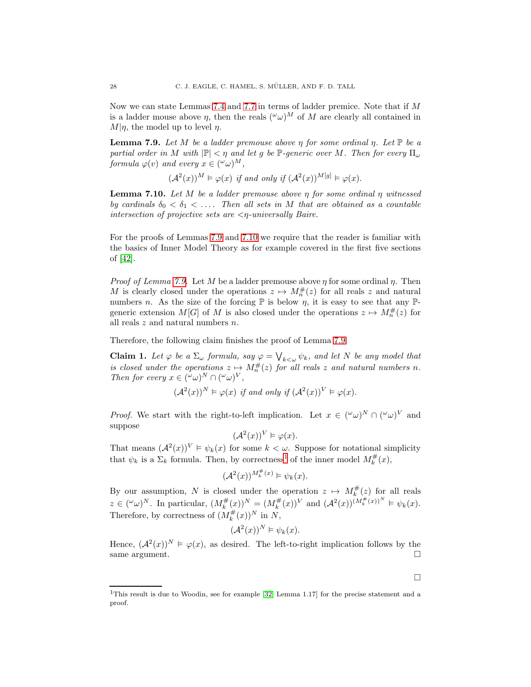Now we can state Lemmas [7.4](#page-24-0) and [7.7](#page-24-1) in terms of ladder premice. Note that if  $M$ is a ladder mouse above  $\eta$ , then the reals  $({}^{\omega}\omega)^{M}$  of M are clearly all contained in  $M|\eta$ , the model up to level  $\eta$ .

<span id="page-27-0"></span>**Lemma 7.9.** Let M be a ladder premouse above  $\eta$  for some ordinal  $\eta$ . Let  $\mathbb{P}$  be a partial order in M with  $|\mathbb{P}| < \eta$  and let g be  $\mathbb{P}$ -generic over M. Then for every  $\Pi_{\omega}$ formula  $\varphi(v)$  and every  $x \in (\omega \omega)^M$ ,

 $(\mathcal{A}^2(x))^M \models \varphi(x)$  if and only if  $(\mathcal{A}^2(x))^{M[g]} \models \varphi(x)$ .

<span id="page-27-1"></span>**Lemma 7.10.** Let M be a ladder premouse above  $\eta$  for some ordinal  $\eta$  witnessed by cardinals  $\delta_0 < \delta_1 < \ldots$ . Then all sets in M that are obtained as a countable intersection of projective sets are  $\langle \eta$ -universally Baire.

For the proofs of Lemmas [7.9](#page-27-0) and [7.10](#page-27-1) we require that the reader is familiar with the basics of Inner Model Theory as for example covered in the first five sections of [\[42\]](#page-29-29).

*Proof of Lemma [7.9.](#page-27-0)* Let M be a ladder premouse above  $\eta$  for some ordinal  $\eta$ . Then M is clearly closed under the operations  $z \mapsto M_n^{\#}(z)$  for all reals z and natural numbers n. As the size of the forcing  $\mathbb P$  is below  $\eta$ , it is easy to see that any  $\mathbb P$ generic extension  $M[G]$  of M is also closed under the operations  $z \mapsto M_n^{\#}(z)$  for all reals  $z$  and natural numbers  $n$ .

Therefore, the following claim finishes the proof of Lemma [7.9.](#page-27-0)

**Claim 1.** Let  $\varphi$  be a  $\Sigma_{\omega}$  formula, say  $\varphi = \bigvee_{k < \omega} \psi_k$ , and let N be any model that is closed under the operations  $z \mapsto M_n^{\#}(z)$  for all reals z and natural numbers n. Then for every  $x \in (\omega \omega)^N \cap (\omega \omega)^V$ ,

 $(\mathcal{A}^2(x))^N \models \varphi(x)$  if and only if  $(\mathcal{A}^2(x))^V \models \varphi(x)$ .

*Proof.* We start with the right-to-left implication. Let  $x \in (\omega \omega)^N \cap (\omega \omega)^V$  and suppose

$$
(\mathcal{A}^2(x))^V \vDash \varphi(x).
$$

That means  $(A^2(x))^V \models \psi_k(x)$  for some  $k < \omega$ . Suppose for notational simplicity that  $\psi_k$  is a  $\Sigma_k$  formula. Then, by correctness<sup>[1](#page-27-2)</sup> of the inner model  $M_k^{\#}(x)$ ,

$$
(\mathcal{A}^2(x))^{M_k^{\#}(x)} \models \psi_k(x).
$$

By our assumption, N is closed under the operation  $z \mapsto M_k^{\#}(z)$  for all reals  $z \in (\omega \omega)^N$ . In particular,  $(M_k^{\#}(x))^N = (M_k^{\#}(x))^V$  and  $({\cal A}^2(x))^{(M_k^{\#}(x))^N} \models \psi_k(x)$ . Therefore, by correctness of  $(M_k^{\#}(x))^N$  in N,

$$
(\mathcal{A}^2(x))^N \models \psi_k(x).
$$

Hence,  $(\mathcal{A}^2(x))^N \models \varphi(x)$ , as desired. The left-to-right implication follows by the same argument.  $\Box$ 

 $\Box$ 

<span id="page-27-2"></span><sup>&</sup>lt;sup>1</sup>This result is due to Woodin, see for example [\[32,](#page-29-32) Lemma 1.17] for the precise statement and a proof.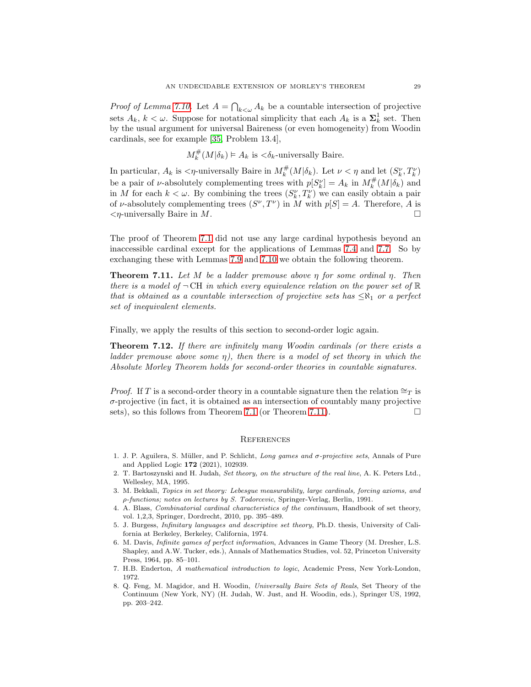*Proof of Lemma [7.10.](#page-27-1)* Let  $A = \bigcap_{k < \omega} A_k$  be a countable intersection of projective sets  $A_k$ ,  $k < \omega$ . Suppose for notational simplicity that each  $A_k$  is a  $\mathbf{\Sigma}_k^1$  set. Then by the usual argument for universal Baireness (or even homogeneity) from Woodin cardinals, see for example [\[35,](#page-29-28) Problem 13.4],

$$
M_k^{\#}(M|\delta_k) \vDash A_k \text{ is } <\delta_k\text{-university Baire.}
$$

In particular,  $A_k$  is  $\langle \eta$ -universally Baire in  $M_k^{\#}(M|\delta_k)$ . Let  $\nu < \eta$  and let  $(S_k^{\nu}, T_k^{\nu})$ be a pair of *v*-absolutely complementing trees with  $p[S_k^{\nu}] = A_k$  in  $M_k^{\#}(M|\delta_k)$  and in M for each  $k < \omega$ . By combining the trees  $(S_k^{\nu}, T_k^{\nu})$  we can easily obtain a pair of v-absolutely complementing trees  $(S^{\nu}, T^{\nu})$  in M with  $p[S] = A$ . Therefore, A is  $\langle \eta$ -universally Baire in M.

The proof of Theorem [7.1](#page-23-0) did not use any large cardinal hypothesis beyond an inaccessible cardinal except for the applications of Lemmas [7.4](#page-24-0) and [7.7.](#page-24-1) So by exchanging these with Lemmas [7.9](#page-27-0) and [7.10](#page-27-1) we obtain the following theorem.

<span id="page-28-7"></span>**Theorem 7.11.** Let M be a ladder premouse above  $\eta$  for some ordinal  $\eta$ . Then there is a model of  $\neg$  CH in which every equivalence relation on the power set of  $\mathbb R$ that is obtained as a countable intersection of projective sets has  $\leq \aleph_1$  or a perfect set of inequivalent elements.

Finally, we apply the results of this section to second-order logic again.

<span id="page-28-6"></span>Theorem 7.12. If there are infinitely many Woodin cardinals (or there exists a ladder premouse above some  $\eta$ ), then there is a model of set theory in which the Absolute Morley Theorem holds for second-order theories in countable signatures.

*Proof.* If T is a second-order theory in a countable signature then the relation  $\cong_T$  is  $\sigma$ -projective (in fact, it is obtained as an intersection of countably many projective sets), so this follows from Theorem [7.1](#page-23-0) (or Theorem [7.11\)](#page-28-7).

### **REFERENCES**

- <span id="page-28-8"></span>1. J. P. Aguilera, S. M¨uller, and P. Schlicht, *Long games and* σ*-projective sets*, Annals of Pure and Applied Logic 172 (2021), 102939.
- <span id="page-28-1"></span>2. T. Bartoszynski and H. Judah, *Set theory, on the structure of the real line*, A. K. Peters Ltd., Wellesley, MA, 1995.
- <span id="page-28-3"></span>3. M. Bekkali, *Topics in set theory: Lebesgue measurability, large cardinals, forcing axioms, and* ρ*-functions; notes on lectures by S. Todorcevic*, Springer-Verlag, Berlin, 1991.
- <span id="page-28-2"></span>4. A. Blass, *Combinatorial cardinal characteristics of the continuum*, Handbook of set theory, vol. 1,2,3, Springer, Dordrecht, 2010, pp. 395–489.
- <span id="page-28-0"></span>5. J. Burgess, *Infinitary languages and descriptive set theory*, Ph.D. thesis, University of California at Berkeley, Berkeley, California, 1974.
- <span id="page-28-4"></span>6. M. Davis, *Infinite games of perfect information*, Advances in Game Theory (M. Dresher, L.S. Shapley, and A.W. Tucker, eds.), Annals of Mathematics Studies, vol. 52, Princeton University Press, 1964, pp. 85–101.
- <span id="page-28-5"></span>7. H.B. Enderton, *A mathematical introduction to logic*, Academic Press, New York-London, 1972.
- <span id="page-28-9"></span>8. Q. Feng, M. Magidor, and H. Woodin, *Universally Baire Sets of Reals*, Set Theory of the Continuum (New York, NY) (H. Judah, W. Just, and H. Woodin, eds.), Springer US, 1992, pp. 203–242.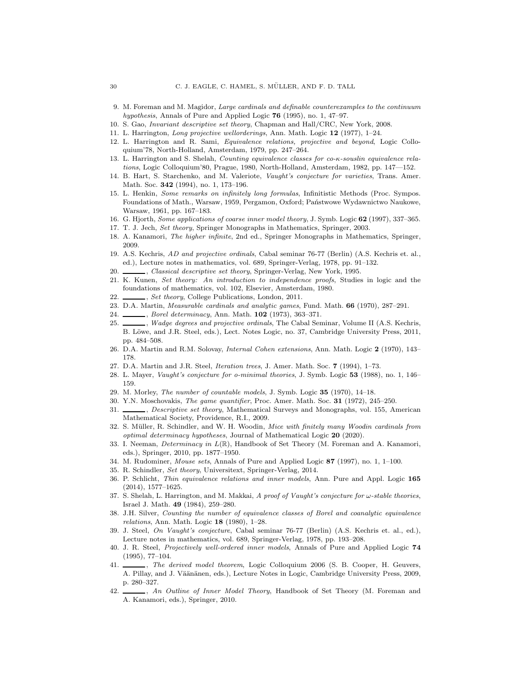- <span id="page-29-6"></span>9. M. Foreman and M. Magidor, *Large cardinals and definable counterexamples to the continuum hypothesis*, Annals of Pure and Applied Logic 76 (1995), no. 1, 47–97.
- <span id="page-29-18"></span><span id="page-29-5"></span>10. S. Gao, *Invariant descriptive set theory*, Chapman and Hall/CRC, New York, 2008.
- <span id="page-29-17"></span>11. L. Harrington, *Long projective wellorderings*, Ann. Math. Logic 12 (1977), 1–24.
- 12. L. Harrington and R. Sami, *Equivalence relations, projective and beyond*, Logic Colloquium'78, North-Holland, Amsterdam, 1979, pp. 247–264.
- <span id="page-29-19"></span>13. L. Harrington and S. Shelah, *Counting equivalence classes for co-*κ*-souslin equivalence relations*, Logic Colloquium'80, Prague, 1980, North-Holland, Amsterdam, 1982, pp. 147––152.
- <span id="page-29-3"></span>14. B. Hart, S. Starchenko, and M. Valeriote, *Vaught's conjecture for varieties*, Trans. Amer. Math. Soc. 342 (1994), no. 1, 173–196.
- <span id="page-29-27"></span>15. L. Henkin, *Some remarks on infinitely long formulas*, Infinitistic Methods (Proc. Sympos. Foundations of Math., Warsaw, 1959, Pergamon, Oxford; Państwowe Wydawnictwo Naukowe, Warsaw, 1961, pp. 167–183.
- <span id="page-29-21"></span><span id="page-29-10"></span>16. G. Hjorth, *Some applications of coarse inner model theory*, J. Symb. Logic 62 (1997), 337–365.
- <span id="page-29-8"></span>17. T. J. Jech, *Set theory*, Springer Monographs in Mathematics, Springer, 2003.
- <span id="page-29-16"></span>18. A. Kanamori, *The higher infinite*, 2nd ed., Springer Monographs in Mathematics, Springer, 2009.
- 19. A.S. Kechris, *AD and projective ordinals*, Cabal seminar 76-77 (Berlin) (A.S. Kechris et. al., ed.), Lecture notes in mathematics, vol. 689, Springer-Verlag, 1978, pp. 91–132.
- <span id="page-29-9"></span><span id="page-29-7"></span>20. , *Classical descriptive set theory*, Springer-Verlag, New York, 1995.
- 21. K. Kunen, *Set theory: An introduction to independence proofs*, Studies in logic and the foundations of mathematics, vol. 102, Elsevier, Amsterdam, 1980.
- <span id="page-29-22"></span><span id="page-29-11"></span>22. , *Set theory*, College Publications, London, 2011.
- <span id="page-29-12"></span>23. D.A. Martin, *Measurable cardinals and analytic games*, Fund. Math. 66 (1970), 287–291.
- <span id="page-29-23"></span>24. , *Borel determinacy*, Ann. Math. 102 (1973), 363–371.
- 25. , *Wadge degrees and projective ordinals*, The Cabal Seminar, Volume II (A.S. Kechris, B. Löwe, and J.R. Steel, eds.), Lect. Notes Logic, no. 37, Cambridge University Press, 2011, pp. 484–508.
- <span id="page-29-24"></span><span id="page-29-20"></span>26. D.A. Martin and R.M. Solovay, *Internal Cohen extensions*, Ann. Math. Logic 2 (1970), 143– 178.
- <span id="page-29-2"></span>27. D.A. Martin and J.R. Steel, *Iteration trees*, J. Amer. Math. Soc. 7 (1994), 1–73.
- <span id="page-29-4"></span>28. L. Mayer, *Vaught's conjecture for o-minimal theories*, J. Symb. Logic 53 (1988), no. 1, 146– 159.
- <span id="page-29-25"></span>29. M. Morley, *The number of countable models*, J. Symb. Logic 35 (1970), 14–18.
- <span id="page-29-26"></span>30. Y.N. Moschovakis, *The game quantifier*, Proc. Amer. Math. Soc. 31 (1972), 245–250.
- 31. , *Descriptive set theory*, Mathematical Surveys and Monographs, vol. 155, American Mathematical Society, Providence, R.I., 2009.
- <span id="page-29-32"></span>32. S. M¨uller, R. Schindler, and W. H. Woodin, *Mice with finitely many Woodin cardinals from optimal determinacy hypotheses*, Journal of Mathematical Logic 20 (2020).
- <span id="page-29-15"></span>33. I. Neeman, *Determinacy in* L(R), Handbook of Set Theory (M. Foreman and A. Kanamori, eds.), Springer, 2010, pp. 1877–1950.
- <span id="page-29-33"></span><span id="page-29-28"></span>34. M. Rudominer, *Mouse sets*, Annals of Pure and Applied Logic 87 (1997), no. 1, 1–100.
- <span id="page-29-14"></span>35. R. Schindler, *Set theory*, Universitext, Springer-Verlag, 2014.
- 36. P. Schlicht, *Thin equivalence relations and inner models*, Ann. Pure and Appl. Logic 165 (2014), 1577–1625.
- <span id="page-29-1"></span>37. S. Shelah, L. Harrington, and M. Makkai, *A proof of Vaught's conjecture for* ω*-stable theories*, Israel J. Math. 49 (1984), 259–280.
- <span id="page-29-13"></span>38. J.H. Silver, *Counting the number of equivalence classes of Borel and coanalytic equivalence relations*, Ann. Math. Logic 18 (1980), 1–28.
- <span id="page-29-0"></span>39. J. Steel, *On Vaught's conjecture*, Cabal seminar 76-77 (Berlin) (A.S. Kechris et. al., ed.), Lecture notes in mathematics, vol. 689, Springer-Verlag, 1978, pp. 193–208.
- <span id="page-29-31"></span>40. J. R. Steel, *Projectively well-ordered inner models*, Annals of Pure and Applied Logic 74 (1995), 77–104.
- <span id="page-29-30"></span>41. , *The derived model theorem*, Logic Colloquium 2006 (S. B. Cooper, H. Geuvers, A. Pillay, and J. Väänänen, eds.), Lecture Notes in Logic, Cambridge University Press, 2009, p. 280–327.
- <span id="page-29-29"></span>42. , *An Outline of Inner Model Theory*, Handbook of Set Theory (M. Foreman and A. Kanamori, eds.), Springer, 2010.